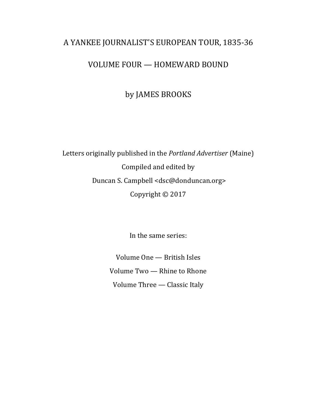### A YANKEE JOURNALIST'S EUROPEAN TOUR, 1835-36

### VOLUME FOUR - HOMEWARD BOUND

by JAMES BROOKS

Letters originally published in the *Portland Advertiser* (Maine) Compiled and edited by Duncan S. Campbell <dsc@donduncan.org> Copyright  $©$  2017

In the same series:

Volume One - British Isles Volume Two - Rhine to Rhone Volume Three - Classic Italy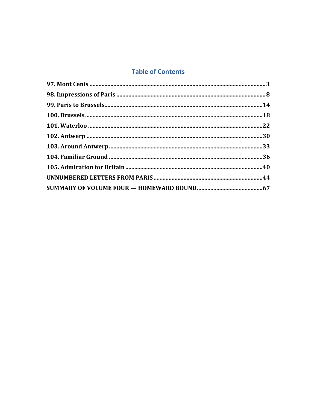### **Table of Contents**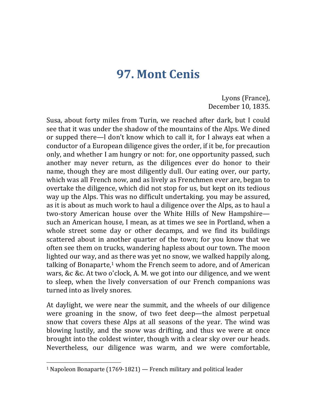## **97. Mont Cenis**

Lyons (France), December 10, 1835.

Susa, about forty miles from Turin, we reached after dark, but I could see that it was under the shadow of the mountains of the Alps. We dined or supped there—I don't know which to call it, for I always eat when a conductor of a European diligence gives the order, if it be, for precaution only, and whether I am hungry or not: for, one opportunity passed, such another may never return, as the diligences ever do honor to their name, though they are most diligently dull. Our eating over, our party, which was all French now, and as lively as Frenchmen ever are, began to overtake the diligence, which did not stop for us, but kept on its tedious way up the Alps. This was no difficult undertaking, you may be assured, as it is about as much work to haul a diligence over the Alps, as to haul a two-story American house over the White Hills of New Hampshire such an American house, I mean, as at times we see in Portland, when a whole street some day or other decamps, and we find its buildings scattered about in another quarter of the town; for you know that we often see them on trucks, wandering hapless about our town. The moon lighted our way, and as there was yet no snow, we walked happily along, talking of Bonaparte, $1$  whom the French seem to adore, and of American wars, &c &c. At two o'clock, A. M. we got into our diligence, and we went to sleep, when the lively conversation of our French companions was turned into as lively snores.

At daylight, we were near the summit, and the wheels of our diligence were groaning in the snow, of two feet deep—the almost perpetual snow that covers these Alps at all seasons of the year. The wind was blowing lustily, and the snow was drifting, and thus we were at once brought into the coldest winter, though with a clear sky over our heads. Nevertheless, our diligence was warm, and we were comfortable,

<sup>&</sup>lt;sup>1</sup> Napoleon Bonaparte  $(1769-1821)$  – French military and political leader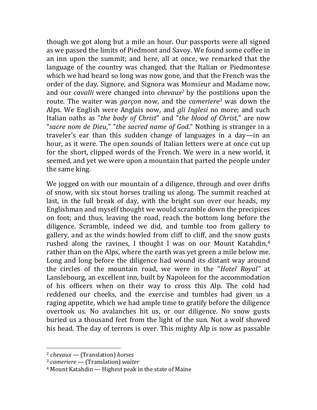though we got along but a mile an hour. Our passports were all signed as we passed the limits of Piedmont and Savoy. We found some coffee in an inn upon the summit; and here, all at once, we remarked that the language of the country was changed, that the Italian or Piedmontese which we had heard so long was now gone, and that the French was the order of the day. Signore, and Signora was Monsieur and Madame now, and our *cavalli* were changed into *chevaux*<sup>2</sup> by the postilions upon the route. The waiter was *garçon* now, and the *cameriere<sup>3</sup>* was down the Alps. We English were Anglais now, and *gli Inglesi* no more; and such Italian oaths as "*the body of Christ*" and "*the blood of Christ*," are now "sacre nom de Dieu," "the sacred name of God." Nothing is stranger in a traveler's ear than this sudden change of languages in a day—in an hour, as it were. The open sounds of Italian letters were at once cut up for the short, clipped words of the French. We were in a new world, it seemed, and yet we were upon a mountain that parted the people under the same king.

We jogged on with our mountain of a diligence, through and over drifts of snow, with six stout horses trailing us along. The summit reached at last, in the full break of day, with the bright sun over our heads, my Englishman and myself thought we would scramble down the precipices on foot; and thus, leaving the road, reach the bottom long before the diligence. Scramble, indeed we did, and tumble too from gallery to gallery, and as the winds howled from cliff to cliff, and the snow gusts rushed along the ravines, I thought I was on our Mount Katahdin,<sup>4</sup> rather than on the Alps, where the earth was yet green a mile below me. Long and long before the diligence had wound its distant way around the circles of the mountain road, we were in the "*Hotel Royal*" at Lanslebourg, an excellent inn, built by Napoleon for the accommodation of his officers when on their way to cross this Alp. The cold had reddened our cheeks, and the exercise and tumbles had given us a raging appetite, which we had ample time to gratify before the diligence overtook us. No avalanches hit us, or our diligence. No snow gusts buried us a thousand feet from the light of the sun. Not a wolf showed his head. The day of terrors is over. This mighty Alp is now as passable

<sup>2</sup> *chevaux —* (Translation) *horses*

<sup>3</sup> *cameriere* — (Translation) *waiter*

 $4$  Mount Katahdin — Highest peak in the state of Maine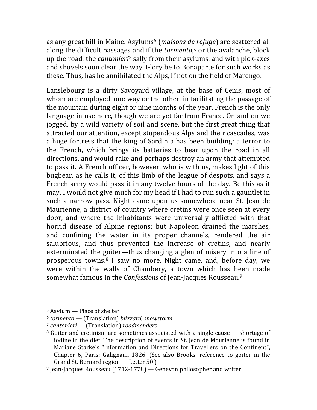as any great hill in Maine. Asylums<sup>5</sup> (*maisons de refuge*) are scattered all along the difficult passages and if the *tormenta*,<sup>6</sup> or the avalanche, block up the road, the *cantonieri<sup>7</sup>* sally from their asylums, and with pick-axes and shovels soon clear the way. Glory be to Bonaparte for such works as these. Thus, has he annihilated the Alps, if not on the field of Marengo.

Lanslebourg is a dirty Savoyard village, at the base of Cenis, most of whom are employed, one way or the other, in facilitating the passage of the mountain during eight or nine months of the year. French is the only language in use here, though we are yet far from France. On and on we jogged, by a wild variety of soil and scene, but the first great thing that attracted our attention, except stupendous Alps and their cascades, was a huge fortress that the king of Sardinia has been building: a terror to the French, which brings its batteries to bear upon the road in all directions, and would rake and perhaps destroy an army that attempted to pass it. A French officer, however, who is with us, makes light of this bugbear, as he calls it, of this limb of the league of despots, and says a French army would pass it in any twelve hours of the day. Be this as it may, I would not give much for my head if I had to run such a gauntlet in such a narrow pass. Night came upon us somewhere near St. Jean de Maurienne, a district of country where cretins were once seen at every door, and where the inhabitants were universally afflicted with that horrid disease of Alpine regions; but Napoleon drained the marshes, and confining the water in its proper channels, rendered the air salubrious, and thus prevented the increase of cretins, and nearly exterminated the goiter—thus changing a glen of misery into a line of prosperous towns. $8$  I saw no more. Night came, and, before day, we were within the walls of Chambery, a town which has been made somewhat famous in the *Confessions* of Jean-Jacques Rousseau.<sup>9</sup>

  $5$  Asylum  $-$  Place of shelter

<sup>6</sup> *tormenta* — (Translation) *blizzard, snowstorm*

<sup>7</sup> *cantonieri —* (Translation) *roadmenders*

 $8$  Goiter and cretinism are sometimes associated with a single cause  $-$  shortage of iodine in the diet. The description of events in St. Jean de Maurienne is found in Mariane Starke's "Information and Directions for Travellers on the Continent", Chapter 6, Paris: Galignani, 1826. (See also Brooks' reference to goiter in the Grand St. Bernard region  $-$  Letter 50.)

 $9$  Jean-Jacques Rousseau (1712-1778) — Genevan philosopher and writer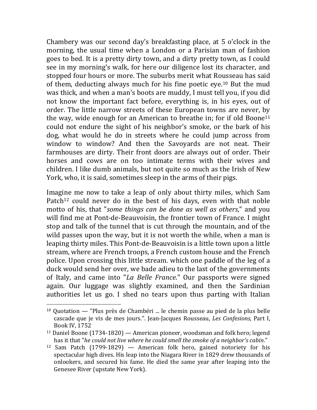Chambery was our second day's breakfasting place, at 5 o'clock in the morning, the usual time when a London or a Parisian man of fashion goes to bed. It is a pretty dirty town, and a dirty pretty town, as I could see in my morning's walk, for here our diligence lost its character, and stopped four hours or more. The suburbs merit what Rousseau has said of them, deducting always much for his fine poetic eye.<sup>10</sup> But the mud was thick, and when a man's boots are muddy, I must tell you, if you did not know the important fact before, everything is, in his eyes, out of order. The little narrow streets of these European towns are never, by the way, wide enough for an American to breathe in; for if old Boone<sup>11</sup> could not endure the sight of his neighbor's smoke, or the bark of his dog, what would he do in streets where he could jump across from window to window? And then the Savoyards are not neat. Their farmhouses are dirty. Their front doors are always out of order. Their horses and cows are on too intimate terms with their wives and children. I like dumb animals, but not quite so much as the Irish of New York, who, it is said, sometimes sleep in the arms of their pigs.

Imagine me now to take a leap of only about thirty miles, which Sam Patch<sup>12</sup> could never do in the best of his days, even with that noble motto of his, that "*some things can be done as well as others*," and you will find me at Pont-de-Beauvoisin, the frontier town of France. I might stop and talk of the tunnel that is cut through the mountain, and of the wild passes upon the way, but it is not worth the while, when a man is leaping thirty miles. This Pont-de-Beauvoisin is a little town upon a little stream, where are French troops, a French custom house and the French police. Upon crossing this little stream. which one paddle of the leg of a duck would send her over, we bade adieu to the last of the governments of Italy, and came into "*La Belle France*." Our passports were signed again. Our luggage was slightly examined, and then the Sardinian authorities let us go. I shed no tears upon thus parting with Italian

 $10$  Quotation — "Plus près de Chambéri ... le chemin passe au pied de la plus belle cascade que je vis de mes jours.". Jean-Jacques Rousseau, *Les Confesions*, Part I, Book IV, 1752

<sup>&</sup>lt;sup>11</sup> Daniel Boone (1734-1820) — American pioneer, woodsman and folk hero; legend has it that "*he could not live where he could smell the smoke of a neighbor's cabin*."

<sup>&</sup>lt;sup>12</sup> Sam Patch  $(1799-1829)$  — American folk hero, gained notoriety for his spectacular high dives. His leap into the Niagara River in 1829 drew thousands of onlookers, and secured his fame. He died the same year after leaping into the Genesee River (upstate New York).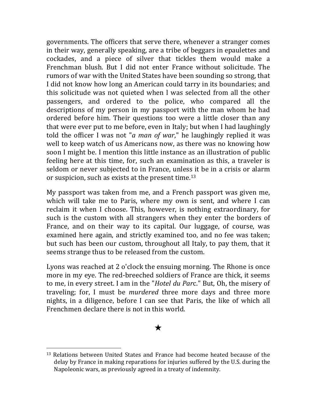governments. The officers that serve there, whenever a stranger comes in their way, generally speaking, are a tribe of beggars in epaulettes and cockades, and a piece of silver that tickles them would make a Frenchman blush. But I did not enter France without solicitude. The rumors of war with the United States have been sounding so strong, that I did not know how long an American could tarry in its boundaries; and this solicitude was not quieted when I was selected from all the other passengers, and ordered to the police, who compared all the descriptions of my person in my passport with the man whom he had ordered before him. Their questions too were a little closer than any that were ever put to me before, even in Italy; but when I had laughingly told the officer I was not "*a* man of war," he laughingly replied it was well to keep watch of us Americans now, as there was no knowing how soon I might be. I mention this little instance as an illustration of public feeling here at this time, for, such an examination as this, a traveler is seldom or never subjected to in France, unless it be in a crisis or alarm or suspicion, such as exists at the present time.<sup>13</sup>

My passport was taken from me, and a French passport was given me, which will take me to Paris, where my own is sent, and where I can reclaim it when I choose. This, however, is nothing extraordinary, for such is the custom with all strangers when they enter the borders of France, and on their way to its capital. Our luggage, of course, was examined here again, and strictly examined too, and no fee was taken; but such has been our custom, throughout all Italy, to pay them, that it seems strange thus to be released from the custom.

Lyons was reached at 2 o'clock the ensuing morning. The Rhone is once more in my eye. The red-breeched soldiers of France are thick, it seems to me, in every street. I am in the "*Hotel du Parc*." But, Oh, the misery of traveling; for, I must be *murdered* three more days and three more nights, in a diligence, before I can see that Paris, the like of which all Frenchmen declare there is not in this world.

#### ★

 $13$  Relations between United States and France had become heated because of the delay by France in making reparations for injuries suffered by the U.S. during the Napoleonic wars, as previously agreed in a treaty of indemnity.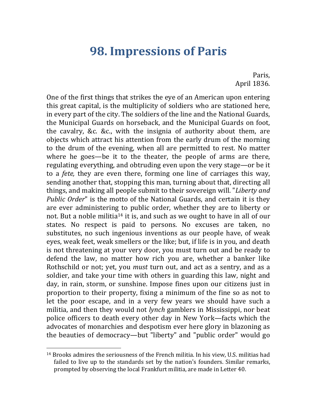## **98. Impressions of Paris**

Paris, April 1836.

One of the first things that strikes the eye of an American upon entering this great capital, is the multiplicity of soldiers who are stationed here, in every part of the city. The soldiers of the line and the National Guards, the Municipal Guards on horseback, and the Municipal Guards on foot, the cavalry, &c. &c., with the insignia of authority about them, are objects which attract his attention from the early drum of the morning to the drum of the evening, when all are permitted to rest. No matter where he goes—be it to the theater, the people of arms are there, regulating everything, and obtruding even upon the very stage—or be it to a *fete*, they are even there, forming one line of carriages this way, sending another that, stopping this man, turning about that, directing all things, and making all people submit to their sovereign will. "*Liberty and Public* Order" is the motto of the National Guards, and certain it is they are ever administering to public order, whether they are to liberty or not. But a noble militia<sup>14</sup> it is, and such as we ought to have in all of our states. No respect is paid to persons. No excuses are taken, no substitutes, no such ingenious inventions as our people have, of weak eyes, weak feet, weak smellers or the like; but, if life is in you, and death is not threatening at your very door, you must turn out and be ready to defend the law, no matter how rich you are, whether a banker like Rothschild or not; yet, you *must* turn out, and act as a sentry, and as a soldier, and take your time with others in guarding this law, night and day, in rain, storm, or sunshine. Impose fines upon our citizens just in proportion to their property, fixing a minimum of the fine so as not to let the poor escape, and in a very few years we should have such a militia, and then they would not *lynch* gamblers in Mississippi, nor beat police officers to death every other day in New York—facts which the advocates of monarchies and despotism ever here glory in blazoning as the beauties of democracy—but "liberty" and "public order" would go

<sup>&</sup>lt;sup>14</sup> Brooks admires the seriousness of the French militia. In his view, U.S. militias had failed to live up to the standards set by the nation's founders. Similar remarks, prompted by observing the local Frankfurt militia, are made in Letter 40.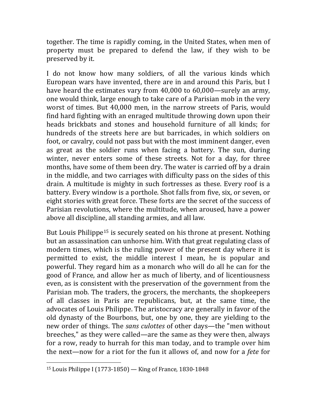together. The time is rapidly coming, in the United States, when men of property must be prepared to defend the law, if they wish to be preserved by it.

I do not know how many soldiers, of all the various kinds which European wars have invented, there are in and around this Paris, but I have heard the estimates vary from  $40,000$  to  $60,000$ —surely an army, one would think, large enough to take care of a Parisian mob in the very worst of times. But 40,000 men, in the narrow streets of Paris, would find hard fighting with an enraged multitude throwing down upon their heads brickbats and stones and household furniture of all kinds; for hundreds of the streets here are but barricades, in which soldiers on foot, or cavalry, could not pass but with the most imminent danger, even as great as the soldier runs when facing a battery. The sun, during winter, never enters some of these streets. Not for a day, for three months, have some of them been dry. The water is carried off by a drain in the middle, and two carriages with difficulty pass on the sides of this drain. A multitude is mighty in such fortresses as these. Every roof is a battery. Every window is a porthole. Shot falls from five, six, or seven, or eight stories with great force. These forts are the secret of the success of Parisian revolutions, where the multitude, when aroused, have a power above all discipline, all standing armies, and all law.

But Louis Philippe<sup>15</sup> is securely seated on his throne at present. Nothing but an assassination can unhorse him. With that great regulating class of modern times, which is the ruling power of the present day where it is permitted to exist, the middle interest I mean, he is popular and powerful. They regard him as a monarch who will do all he can for the good of France, and allow her as much of liberty, and of licentiousness even, as is consistent with the preservation of the government from the Parisian mob. The traders, the grocers, the merchants, the shopkeepers of all classes in Paris are republicans, but, at the same time, the advocates of Louis Philippe. The aristocracy are generally in favor of the old dynasty of the Bourbons, but, one by one, they are yielding to the new order of things. The *sans culottes* of other days—the "men without breeches," as they were called—are the same as they were then, always for a row, ready to hurrah for this man today, and to trample over him the next—now for a riot for the fun it allows of, and now for a *fete* for

  $15$  Louis Philippe I (1773-1850) — King of France, 1830-1848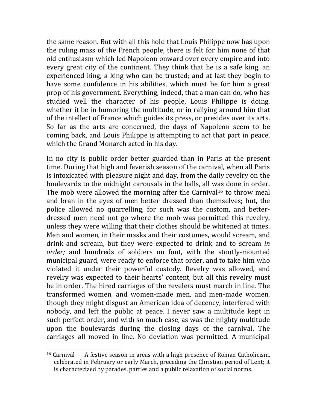the same reason. But with all this hold that Louis Philippe now has upon the ruling mass of the French people, there is felt for him none of that old enthusiasm which led Napoleon onward over every empire and into every great city of the continent. They think that he is a safe king, an experienced king, a king who can be trusted; and at last they begin to have some confidence in his abilities, which must be for him a great prop of his government. Everything, indeed, that a man can do, who has studied well the character of his people, Louis Philippe is doing, whether it be in humoring the multitude, or in rallying around him that of the intellect of France which guides its press, or presides over its arts. So far as the arts are concerned, the days of Napoleon seem to be coming back, and Louis Philippe is attempting to act that part in peace, which the Grand Monarch acted in his day.

In no city is public order better guarded than in Paris at the present time. During that high and feverish season of the carnival, when all Paris is intoxicated with pleasure night and day, from the daily revelry on the boulevards to the midnight carousals in the balls, all was done in order. The mob were allowed the morning after the Carnival<sup>16</sup> to throw meal and bran in the eyes of men better dressed than themselves; but, the police allowed no quarrelling, for such was the custom, and betterdressed men need not go where the mob was permitted this revelry, unless they were willing that their clothes should be whitened at times. Men and women, in their masks and their costumes, would scream, and drink and scream, but they were expected to drink and to scream *in* order; and hundreds of soldiers on foot, with the stoutly-mounted municipal guard, were ready to enforce that order, and to take him who violated it under their powerful custody. Revelry was allowed, and revelry was expected to their hearts' content, but all this revelry must be in order. The hired carriages of the revelers must march in line. The transformed women, and women-made men, and men-made women, though they might disgust an American idea of decency, interfered with nobody, and left the public at peace. I never saw a multitude kept in such perfect order, and with so much ease, as was the mighty multitude upon the boulevards during the closing days of the carnival. The carriages all moved in line. No deviation was permitted. A municipal

<sup>&</sup>lt;sup>16</sup> Carnival — A festive season in areas with a high presence of Roman Catholicism, celebrated in February or early March, preceding the Christian period of Lent; it is characterized by parades, parties and a public relaxation of social norms.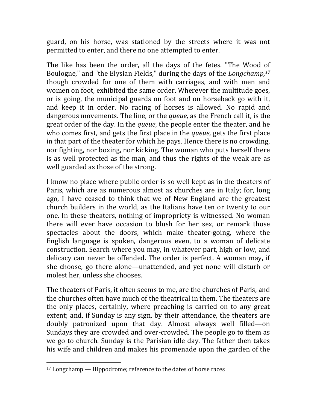guard, on his horse, was stationed by the streets where it was not permitted to enter, and there no one attempted to enter.

The like has been the order, all the days of the fetes. "The Wood of Boulogne," and "the Elysian Fields," during the days of the *Longchamp*,<sup>17</sup> though crowded for one of them with carriages, and with men and women on foot, exhibited the same order. Wherever the multitude goes, or is going, the municipal guards on foot and on horseback go with it, and keep it in order. No racing of horses is allowed. No rapid and dangerous movements. The line, or the *queue*, as the French call it, is the great order of the day. In the *queue*, the people enter the theater, and he who comes first, and gets the first place in the *queue*, gets the first place in that part of the theater for which he pays. Hence there is no crowding, nor fighting, nor boxing, nor kicking. The woman who puts herself there is as well protected as the man, and thus the rights of the weak are as well guarded as those of the strong.

I know no place where public order is so well kept as in the theaters of Paris, which are as numerous almost as churches are in Italy; for, long ago, I have ceased to think that we of New England are the greatest church builders in the world, as the Italians have ten or twenty to our one. In these theaters, nothing of impropriety is witnessed. No woman there will ever have occasion to blush for her sex, or remark those spectacles about the doors, which make theater-going, where the English language is spoken, dangerous even, to a woman of delicate construction. Search where you may, in whatever part, high or low, and delicacy can never be offended. The order is perfect. A woman may, if she choose, go there alone—unattended, and yet none will disturb or molest her, unless she chooses.

The theaters of Paris, it often seems to me, are the churches of Paris, and the churches often have much of the theatrical in them. The theaters are the only places, certainly, where preaching is carried on to any great extent; and, if Sunday is any sign, by their attendance, the theaters are doubly patronized upon that day. Almost always well filled—on Sundays they are crowded and over-crowded. The people go to them as we go to church. Sunday is the Parisian idle day. The father then takes his wife and children and makes his promenade upon the garden of the

 $17$  Longchamp  $-$  Hippodrome; reference to the dates of horse races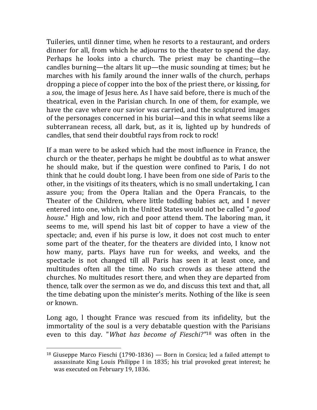Tuileries, until dinner time, when he resorts to a restaurant, and orders dinner for all, from which he adjourns to the theater to spend the day. Perhaps he looks into a church. The priest may be chanting—the candles burning—the altars lit up—the music sounding at times; but he marches with his family around the inner walls of the church, perhaps dropping a piece of copper into the box of the priest there, or kissing, for a *sou*, the image of Jesus here. As I have said before, there is much of the theatrical, even in the Parisian church. In one of them, for example, we have the cave where our savior was carried, and the sculptured images of the personages concerned in his burial—and this in what seems like a subterranean recess, all dark, but, as it is, lighted up by hundreds of candles, that send their doubtful rays from rock to rock!

If a man were to be asked which had the most influence in France, the church or the theater, perhaps he might be doubtful as to what answer he should make, but if the question were confined to Paris, I do not think that he could doubt long. I have been from one side of Paris to the other, in the visitings of its theaters, which is no small undertaking, I can assure you; from the Opera Italian and the Opera Francais, to the Theater of the Children, where little toddling babies act, and I never entered into one, which in the United States would not be called "*a good house*." High and low, rich and poor attend them. The laboring man, it seems to me, will spend his last bit of copper to have a view of the spectacle; and, even if his purse is low, it does not cost much to enter some part of the theater, for the theaters are divided into, I know not how many, parts. Plays have run for weeks, and weeks, and the spectacle is not changed till all Paris has seen it at least once, and multitudes often all the time. No such crowds as these attend the churches. No multitudes resort there, and when they are departed from thence, talk over the sermon as we do, and discuss this text and that, all the time debating upon the minister's merits. Nothing of the like is seen or known.

Long ago, I thought France was rescued from its infidelity, but the immortality of the soul is a very debatable question with the Parisians even to this day. "*What has become of Fieschi?"*<sup>18</sup> was often in the

<sup>&</sup>lt;sup>18</sup> Giuseppe Marco Fieschi (1790-1836) — Born in Corsica; led a failed attempt to assassinate King Louis Philippe I in 1835; his trial provoked great interest; he was executed on February 19, 1836.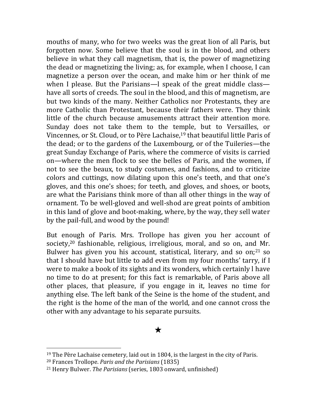mouths of many, who for two weeks was the great lion of all Paris, but forgotten now. Some believe that the soul is in the blood, and others believe in what they call magnetism, that is, the power of magnetizing the dead or magnetizing the living; as, for example, when I choose, I can magnetize a person over the ocean, and make him or her think of me when I please. But the Parisians—I speak of the great middle class have all sorts of creeds. The soul in the blood, and this of magnetism, are but two kinds of the many. Neither Catholics nor Protestants, they are more Catholic than Protestant, because their fathers were. They think little of the church because amusements attract their attention more. Sunday does not take them to the temple, but to Versailles, or Vincennes, or St. Cloud, or to Père Lachaise,<sup>19</sup> that beautiful little Paris of the dead; or to the gardens of the Luxembourg, or of the Tuileries—the great Sunday Exchange of Paris, where the commerce of visits is carried on—where the men flock to see the belles of Paris, and the women, if not to see the beaux, to study costumes, and fashions, and to criticize colors and cuttings, now dilating upon this one's teeth, and that one's gloves, and this one's shoes; for teeth, and gloves, and shoes, or boots, are what the Parisians think more of than all other things in the way of ornament. To be well-gloved and well-shod are great points of ambition in this land of glove and boot-making, where, by the way, they sell water by the pail-full, and wood by the pound!

But enough of Paris. Mrs. Trollope has given you her account of society,<sup>20</sup> fashionable, religious, irreligious, moral, and so on, and Mr. Bulwer has given you his account, statistical, literary, and so on;<sup>21</sup> so that I should have but little to add even from my four months' tarry, if I were to make a book of its sights and its wonders, which certainly l have no time to do at present; for this fact is remarkable, of Paris above all other places, that pleasure, if you engage in it, leaves no time for anything else. The left bank of the Seine is the home of the student, and the right is the home of the man of the world, and one cannot cross the other with any advantage to his separate pursuits.

#### ★

<sup>&</sup>lt;sup>19</sup> The Père Lachaise cemetery, laid out in 1804, is the largest in the city of Paris.

<sup>20</sup> Frances Trollope. *Paris and the Parisians* (1835)

<sup>&</sup>lt;sup>21</sup> Henry Bulwer. *The Parisians* (series, 1803 onward, unfinished)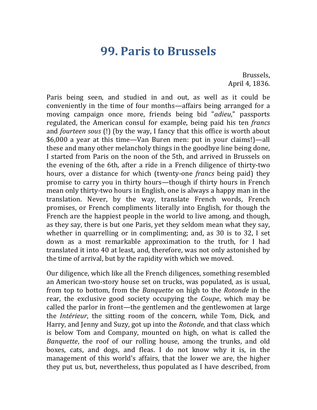### **99. Paris to Brussels**

Brussels, April 4, 1836.

Paris being seen, and studied in and out, as well as it could be conveniently in the time of four months—affairs being arranged for a moving campaign once more, friends being bid "*adieu*," passports regulated, the American consul for example, being paid his ten *francs* and *fourteen sous* (!) (by the way, I fancy that this office is worth about \$6,000 a year at this time—Van Buren men: put in your claims!)—all these and many other melancholy things in the goodbye line being done, I started from Paris on the noon of the 5th, and arrived in Brussels on the evening of the 6th, after a ride in a French diligence of thirty-two hours, over a distance for which (twenty-one *francs* being paid) they promise to carry you in thirty hours—though if thirty hours in French mean only thirty-two hours in English, one is always a happy man in the translation. Never, by the way, translate French words, French promises, or French compliments literally into English, for though the French are the happiest people in the world to live among, and though, as they say, there is but one Paris, yet they seldom mean what they say, whether in quarrelling or in complimenting; and, as  $30$  is to  $32$ , I set down as a most remarkable approximation to the truth, for I had translated it into 40 at least, and, therefore, was not only astonished by the time of arrival, but by the rapidity with which we moved.

Our diligence, which like all the French diligences, something resembled an American two-story house set on trucks, was populated, as is usual, from top to bottom, from the *Banquette* on high to the *Rotonde* in the rear, the exclusive good society occupying the *Coupe*, which may be called the parlor in front—the gentlemen and the gentlewomen at large the *Intérieur*, the sitting room of the concern, while Tom, Dick, and Harry, and Jenny and Suzy, got up into the *Rotonde*, and that class which is below Tom and Company, mounted on high, on what is called the *Banquette*, the roof of our rolling house, among the trunks, and old boxes, cats, and dogs, and fleas. I do not know why it is, in the management of this world's affairs, that the lower we are, the higher they put us, but, nevertheless, thus populated as I have described, from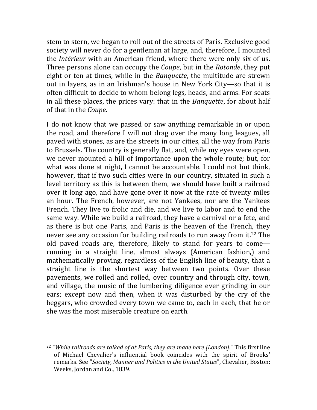stem to stern, we began to roll out of the streets of Paris. Exclusive good society will never do for a gentleman at large, and, therefore, I mounted the *Intérieur* with an American friend, where there were only six of us. Three persons alone can occupy the *Coupe*, but in the *Rotonde*, they put eight or ten at times, while in the *Banquette*, the multitude are strewn out in layers, as in an Irishman's house in New York City—so that it is often difficult to decide to whom belong legs, heads, and arms. For seats in all these places, the prices vary: that in the *Banquette*, for about half of that in the *Coupe*.

I do not know that we passed or saw anything remarkable in or upon the road, and therefore I will not drag over the many long leagues, all paved with stones, as are the streets in our cities, all the way from Paris to Brussels. The country is generally flat, and, while my eyes were open, we never mounted a hill of importance upon the whole route; but, for what was done at night, I cannot be accountable. I could not but think, however, that if two such cities were in our country, situated in such a level territory as this is between them, we should have built a railroad over it long ago, and have gone over it now at the rate of twenty miles an hour. The French, however, are not Yankees, nor are the Yankees French. They live to frolic and die, and we live to labor and to end the same way. While we build a railroad, they have a carnival or a fete, and as there is but one Paris, and Paris is the heaven of the French, they never see any occasion for building railroads to run away from it.<sup>22</sup> The old paved roads are, therefore, likely to stand for years to come running in a straight line, almost always (American fashion,) and mathematically proving, regardless of the English line of beauty, that a straight line is the shortest way between two points. Over these pavements, we rolled and rolled, over country and through city, town, and village, the music of the lumbering diligence ever grinding in our ears; except now and then, when it was disturbed by the cry of the beggars, who crowded every town we came to, each in each, that he or she was the most miserable creature on earth.

<sup>&</sup>lt;sup>22</sup> "While railroads are talked of at Paris, they are made here [London]." This first line of Michael Chevalier's influential book coincides with the spirit of Brooks' remarks. See "*Society, Manner and Politics in the United States*", Chevalier, Boston: Weeks, Jordan and Co., 1839.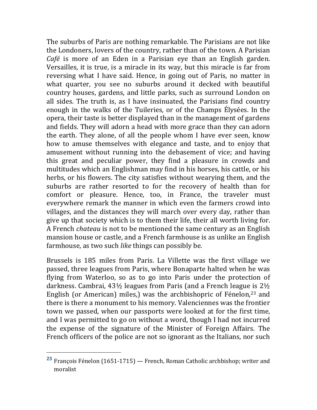The suburbs of Paris are nothing remarkable. The Parisians are not like the Londoners, lovers of the country, rather than of the town. A Parisian *Café* is more of an Eden in a Parisian eye than an English garden. Versailles, it is true, is a miracle in its way, but this miracle is far from reversing what I have said. Hence, in going out of Paris, no matter in what quarter, you see no suburbs around it decked with beautiful country houses, gardens, and little parks, such as surround London on all sides. The truth is, as I have insinuated, the Parisians find country enough in the walks of the Tuileries, or of the Champs Élysées. In the opera, their taste is better displayed than in the management of gardens and fields. They will adorn a head with more grace than they can adorn the earth. They alone, of all the people whom I have ever seen, know how to amuse themselves with elegance and taste, and to enjoy that amusement without running into the debasement of vice; and having this great and peculiar power, they find a pleasure in crowds and multitudes which an Englishman may find in his horses, his cattle, or his herbs, or his flowers. The city satisfies without wearying them, and the suburbs are rather resorted to for the recovery of health than for comfort or pleasure. Hence, too, in France, the traveler must everywhere remark the manner in which even the farmers crowd into villages, and the distances they will march over every day, rather than give up that society which is to them their life, their all worth living for. A French *chateau* is not to be mentioned the same century as an English mansion house or castle, and a French farmhouse is as unlike an English farmhouse, as two such *like* things can possibly be.

Brussels is 185 miles from Paris. La Villette was the first village we passed, three leagues from Paris, where Bonaparte halted when he was flying from Waterloo, so as to go into Paris under the protection of darkness. Cambrai,  $43\frac{1}{2}$  leagues from Paris (and a French league is  $2\frac{1}{2}$ ) English (or American) miles,) was the archbishopric of Fénelon,<sup>23</sup> and there is there a monument to his memory. Valenciennes was the frontier town we passed, when our passports were looked at for the first time, and I was permitted to go on without a word, though I had not incurred the expense of the signature of the Minister of Foreign Affairs. The French officers of the police are not so ignorant as the Italians, nor such

<sup>&</sup>lt;sup>23</sup> François Fénelon (1651-1715) — French, Roman Catholic archbishop; writer and moralist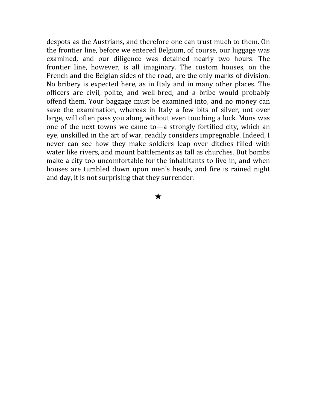despots as the Austrians, and therefore one can trust much to them. On the frontier line, before we entered Belgium, of course, our luggage was examined, and our diligence was detained nearly two hours. The frontier line, however, is all imaginary. The custom houses, on the French and the Belgian sides of the road, are the only marks of division. No bribery is expected here, as in Italy and in many other places. The officers are civil, polite, and well-bred, and a bribe would probably offend them. Your baggage must be examined into, and no money can save the examination, whereas in Italy a few bits of silver, not over large, will often pass you along without even touching a lock. Mons was one of the next towns we came to—a strongly fortified city, which an eye, unskilled in the art of war, readily considers impregnable. Indeed, I never can see how they make soldiers leap over ditches filled with water like rivers, and mount battlements as tall as churches. But bombs make a city too uncomfortable for the inhabitants to live in, and when houses are tumbled down upon men's heads, and fire is rained night and day, it is not surprising that they surrender.

★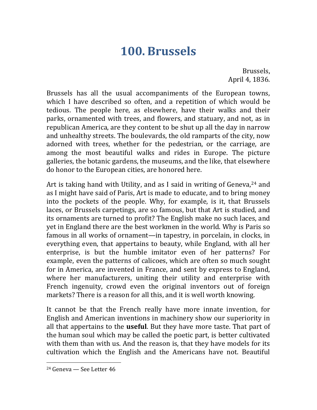# **100. Brussels**

Brussels, April 4, 1836.

Brussels has all the usual accompaniments of the European towns, which I have described so often, and a repetition of which would be tedious. The people here, as elsewhere, have their walks and their parks, ornamented with trees, and flowers, and statuary, and not, as in republican America, are they content to be shut up all the day in narrow and unhealthy streets. The boulevards, the old ramparts of the city, now adorned with trees, whether for the pedestrian, or the carriage, are among the most beautiful walks and rides in Europe. The picture galleries, the botanic gardens, the museums, and the like, that elsewhere do honor to the European cities, are honored here.

Art is taking hand with Utility, and as I said in writing of Geneva,  $24$  and as I might have said of Paris, Art is made to educate, and to bring money into the pockets of the people. Why, for example, is it, that Brussels laces, or Brussels carpetings, are so famous, but that Art is studied, and its ornaments are turned to profit? The English make no such laces, and yet in England there are the best workmen in the world. Why is Paris so famous in all works of ornament—in tapestry, in porcelain, in clocks, in everything even, that appertains to beauty, while England, with all her enterprise, is but the humble imitator even of her patterns? For example, even the patterns of calicoes, which are often so much sought for in America, are invented in France, and sent by express to England, where her manufacturers, uniting their utility and enterprise with French ingenuity, crowd even the original inventors out of foreign markets? There is a reason for all this, and it is well worth knowing.

It cannot be that the French really have more innate invention, for English and American inventions in machinery show our superiority in all that appertains to the **useful**. But they have more taste. That part of the human soul which may be called the poetic part, is better cultivated with them than with us. And the reason is, that they have models for its cultivation which the English and the Americans have not. Beautiful

  $24$  Geneva – See Letter  $46$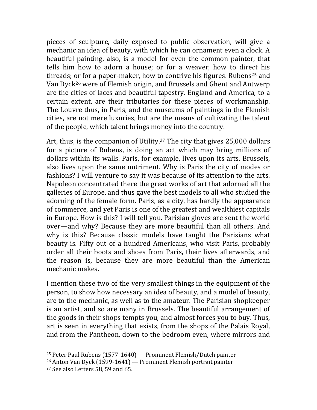pieces of sculpture, daily exposed to public observation, will give a mechanic an idea of beauty, with which he can ornament even a clock. A beautiful painting, also, is a model for even the common painter, that tells him how to adorn a house; or for a weaver, how to direct his threads; or for a paper-maker, how to contrive his figures. Rubens<sup>25</sup> and Van Dyck<sup>26</sup> were of Flemish origin, and Brussels and Ghent and Antwerp are the cities of laces and beautiful tapestry. England and America, to a certain extent, are their tributaries for these pieces of workmanship. The Louvre thus, in Paris, and the museums of paintings in the Flemish cities, are not mere luxuries, but are the means of cultivating the talent of the people, which talent brings money into the country.

Art, thus, is the companion of Utility.<sup>27</sup> The city that gives  $25,000$  dollars for a picture of Rubens, is doing an act which may bring millions of dollars within its walls. Paris, for example, lives upon its arts. Brussels, also lives upon the same nutriment. Why is Paris the city of modes or fashions? I will venture to say it was because of its attention to the arts. Napoleon concentrated there the great works of art that adorned all the galleries of Europe, and thus gave the best models to all who studied the adorning of the female form. Paris, as a city, has hardly the appearance of commerce, and yet Paris is one of the greatest and wealthiest capitals in Europe. How is this? I will tell you. Parisian gloves are sent the world over—and why? Because they are more beautiful than all others. And why is this? Because classic models have taught the Parisians what beauty is. Fifty out of a hundred Americans, who visit Paris, probably order all their boots and shoes from Paris, their lives afterwards, and the reason is, because they are more beautiful than the American mechanic makes.

I mention these two of the very smallest things in the equipment of the person, to show how necessary an idea of beauty, and a model of beauty, are to the mechanic, as well as to the amateur. The Parisian shopkeeper is an artist, and so are many in Brussels. The beautiful arrangement of the goods in their shops tempts you, and almost forces you to buy. Thus, art is seen in everything that exists, from the shops of the Palais Royal, and from the Pantheon, down to the bedroom even, where mirrors and

<sup>&</sup>lt;sup>25</sup> Peter Paul Rubens  $(1577-1640)$  — Prominent Flemish/Dutch painter

 $26$  Anton Van Dyck (1599-1641) — Prominent Flemish portrait painter

 $27$  See also Letters 58, 59 and 65.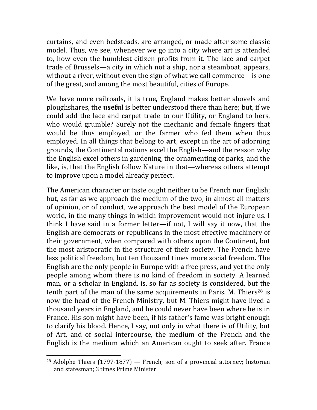curtains, and even bedsteads, are arranged, or made after some classic model. Thus, we see, whenever we go into a city where art is attended to, how even the humblest citizen profits from it. The lace and carpet trade of Brussels—a city in which not a ship, nor a steamboat, appears, without a river, without even the sign of what we call commerce—is one of the great, and among the most beautiful, cities of Europe.

We have more railroads, it is true, England makes better shovels and ploughshares, the **useful** is better understood there than here; but, if we could add the lace and carpet trade to our Utility, or England to hers, who would grumble? Surely not the mechanic and female fingers that would be thus employed, or the farmer who fed them when thus employed. In all things that belong to **art**, except in the art of adorning grounds, the Continental nations excel the English—and the reason why the English excel others in gardening, the ornamenting of parks, and the like, is, that the English follow Nature in that—whereas others attempt to improve upon a model already perfect.

The American character or taste ought neither to be French nor English; but, as far as we approach the medium of the two, in almost all matters of opinion, or of conduct, we approach the best model of the European world, in the many things in which improvement would not injure us. I think I have said in a former letter—if not, I will say it now, that the English are democrats or republicans in the most effective machinery of their government, when compared with others upon the Continent, but the most aristocratic in the structure of their society. The French have less political freedom, but ten thousand times more social freedom. The English are the only people in Europe with a free press, and yet the only people among whom there is no kind of freedom in society. A learned man, or a scholar in England, is, so far as society is considered, but the tenth part of the man of the same acquirements in Paris. M. Thiers<sup>28</sup> is now the head of the French Ministry, but M. Thiers might have lived a thousand years in England, and he could never have been where he is in France. His son might have been, if his father's fame was bright enough to clarify his blood. Hence, I say, not only in what there is of Utility, but of Art, and of social intercourse, the medium of the French and the English is the medium which an American ought to seek after. France

<sup>&</sup>lt;sup>28</sup> Adolphe Thiers  $(1797-1877)$  — French; son of a provincial attorney; historian and statesman: 3 times Prime Minister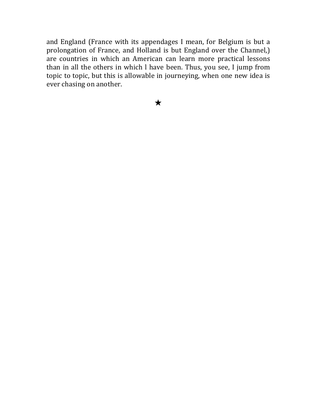and England (France with its appendages I mean, for Belgium is but a prolongation of France, and Holland is but England over the Channel,) are countries in which an American can learn more practical lessons than in all the others in which l have been. Thus, you see, I jump from topic to topic, but this is allowable in journeying, when one new idea is ever chasing on another.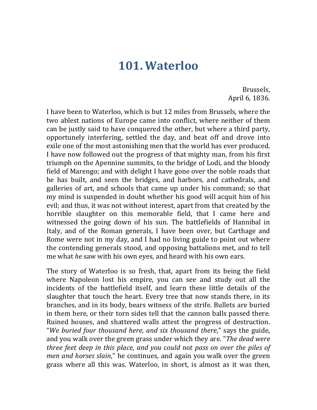## **101. Waterloo**

Brussels, April 6, 1836.

I have been to Waterloo, which is but 12 miles from Brussels, where the two ablest nations of Europe came into conflict, where neither of them can be justly said to have conquered the other, but where a third party, opportunely interfering, settled the day, and beat off and drove into exile one of the most astonishing men that the world has ever produced. I have now followed out the progress of that mighty man, from his first triumph on the Apennine summits, to the bridge of Lodi, and the bloody field of Marengo; and with delight I have gone over the noble roads that he has built, and seen the bridges, and harbors, and cathedrals, and galleries of art, and schools that came up under his command; so that my mind is suspended in doubt whether his good will acquit him of his evil; and thus, it was not without interest, apart from that created by the horrible slaughter on this memorable field, that I came here and witnessed the going down of his sun. The battlefields of Hannibal in Italy, and of the Roman generals, I have been over, but Carthage and Rome were not in my day, and I had no living guide to point out where the contending generals stood, and opposing battalions met, and to tell me what *he* saw with his own eyes, and heard with his own ears.

The story of Waterloo is so fresh, that, apart from its being the field where Napoleon lost his empire, you can see and study out all the incidents of the battlefield itself, and learn these little details of the slaughter that touch the heart. Every tree that now stands there, in its branches, and in its body, bears witness of the strife. Bullets are buried in them here, or their torn sides tell that the cannon balls passed there. Ruined houses, and shattered walls attest the progress of destruction. "*We buried four thousand here, and six thousand there*," says the guide, and you walk over the green grass under which they are. "*The dead were three feet deep in this place, and you could not pass on over the piles of men and horses slain*," he continues, and again you walk over the green grass where all this was. Waterloo, in short, is almost as it was then,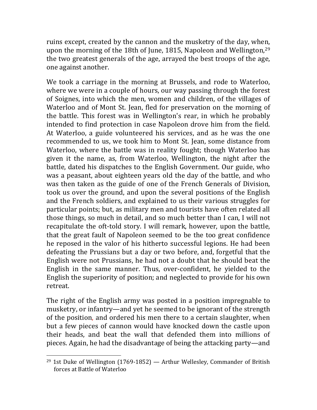ruins except, created by the cannon and the musketry of the day, when, upon the morning of the 18th of June, 1815, Napoleon and Wellington, $29$ the two greatest generals of the age, arrayed the best troops of the age, one against another.

We took a carriage in the morning at Brussels, and rode to Waterloo, where we were in a couple of hours, our way passing through the forest of Soignes, into which the men, women and children, of the villages of Waterloo and of Mont St. Jean, fled for preservation on the morning of the battle. This forest was in Wellington's rear, in which he probably intended to find protection in case Napoleon drove him from the field. At Waterloo, a guide volunteered his services, and as he was the one recommended to us, we took him to Mont St. Jean, some distance from Waterloo, where the battle was in reality fought; though Waterloo has given it the name, as, from Waterloo, Wellington, the night after the battle, dated his dispatches to the English Government. Our guide, who was a peasant, about eighteen years old the day of the battle, and who was then taken as the guide of one of the French Generals of Division, took us over the ground, and upon the several positions of the English and the French soldiers, and explained to us their various struggles for particular points; but, as military men and tourists have often related all those things, so much in detail, and so much better than I can, I will not recapitulate the oft-told story. I will remark, however, upon the battle, that the great fault of Napoleon seemed to be the too great confidence he reposed in the valor of his hitherto successful legions. He had been defeating the Prussians but a day or two before, and, forgetful that the English were not Prussians, he had not a doubt that he should beat the English in the same manner. Thus, over-confident, he yielded to the English the superiority of position; and neglected to provide for his own retreat. 

The right of the English army was posted in a position impregnable to musketry, or infantry—and yet he seemed to be ignorant of the strength of the position, and ordered his men there to a certain slaughter, when but a few pieces of cannon would have knocked down the castle upon their heads, and beat the wall that defended them into millions of pieces. Again, he had the disadvantage of being the attacking party—and

<sup>&</sup>lt;sup>29</sup> 1st Duke of Wellington  $(1769-1852)$  — Arthur Wellesley, Commander of British forces at Battle of Waterloo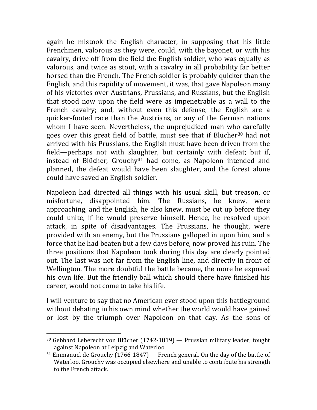again he mistook the English character, in supposing that his little Frenchmen, valorous as they were, could, with the bayonet, or with his cavalry, drive off from the field the English soldier, who was equally as valorous, and twice as stout, with a cavalry in all probability far better horsed than the French. The French soldier is probably quicker than the English, and this rapidity of movement, it was, that gave Napoleon many of his victories over Austrians, Prussians, and Russians, but the English that stood now upon the field were as impenetrable as a wall to the French cavalry; and, without even this defense, the English are a quicker-footed race than the Austrians, or any of the German nations whom I have seen. Nevertheless, the unprejudiced man who carefully goes over this great field of battle, must see that if Blücher<sup>30</sup> had not arrived with his Prussians, the English must have been driven from the field—perhaps not with slaughter, but certainly with defeat; but if, instead of Blücher, Grouchy<sup>31</sup> had come, as Napoleon intended and planned, the defeat would have been slaughter, and the forest alone could have saved an English soldier.

Napoleon had directed all things with his usual skill, but treason, or misfortune, disappointed him. The Russians, he knew, were approaching, and the English, he also knew, must be cut up before they could unite, if he would preserve himself. Hence, he resolved upon attack, in spite of disadvantages. The Prussians, he thought, were provided with an enemy, but the Prussians galloped in upon him, and a force that he had beaten but a few days before, now proved his ruin. The three positions that Napoleon took during this day are clearly pointed out. The last was not far from the English line, and directly in front of Wellington. The more doubtful the battle became, the more he exposed his own life. But the friendly ball which should there have finished his career, would not come to take his life.

I will venture to say that no American ever stood upon this battleground without debating in his own mind whether the world would have gained or lost by the triumph over Napoleon on that day. As the sons of

 $30$  Gebhard Leberecht von Blücher (1742-1819) — Prussian military leader; fought against Napoleon at Leipzig and Waterloo

 $31$  Emmanuel de Grouchy (1766-1847) — French general. On the day of the battle of Waterloo, Grouchy was occupied elsewhere and unable to contribute his strength to the French attack.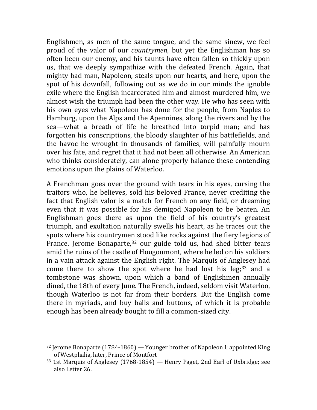Englishmen, as men of the same tongue, and the same sinew, we feel proud of the valor of our *countrymen*, but yet the Englishman has so often been our enemy, and his taunts have often fallen so thickly upon us, that we deeply sympathize with the defeated French. Again, that mighty bad man, Napoleon, steals upon our hearts, and here, upon the spot of his downfall, following out as we do in our minds the ignoble exile where the English incarcerated him and almost murdered him, we almost wish the triumph had been the other way. He who has seen with his own eyes what Napoleon has done for the people, from Naples to Hamburg, upon the Alps and the Apennines, along the rivers and by the sea—what a breath of life he breathed into torpid man; and has forgotten his conscriptions, the bloody slaughter of his battlefields, and the havoc he wrought in thousands of families, will painfully mourn over his fate, and regret that it had not been all otherwise. An American who thinks considerately, can alone properly balance these contending emotions upon the plains of Waterloo.

A Frenchman goes over the ground with tears in his eyes, cursing the traitors who, he believes, sold his beloved France, never crediting the fact that English valor is a match for French on any field, or dreaming even that it was possible for his demigod Napoleon to be beaten. An Englishman goes there as upon the field of his country's greatest triumph, and exultation naturally swells his heart, as he traces out the spots where his countrymen stood like rocks against the fiery legions of France. Jerome Bonaparte, $32$  our guide told us, had shed bitter tears amid the ruins of the castle of Hougoumont, where he led on his soldiers in a vain attack against the English right. The Marquis of Anglesey had come there to show the spot where he had lost his leg;<sup>33</sup> and a tombstone was shown, upon which a band of Englishmen annually dined, the 18th of every June. The French, indeed, seldom visit Waterloo, though Waterloo is not far from their borders. But the English come there in myriads, and buy balls and buttons, of which it is probable enough has been already bought to fill a common-sized city.

 $32$  Jerome Bonaparte (1784-1860) — Younger brother of Napoleon I; appointed King of Westphalia, later, Prince of Montfort

 $33$  1st Marquis of Anglesey (1768-1854) — Henry Paget, 2nd Earl of Uxbridge; see also Letter 26.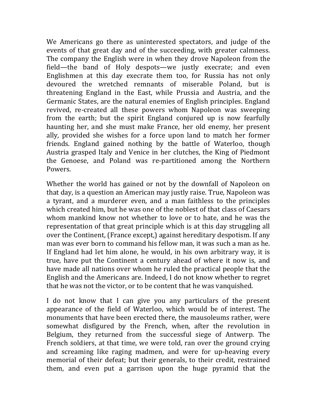We Americans go there as uninterested spectators, and judge of the events of that great day and of the succeeding, with greater calmness. The company the English were in when they drove Napoleon from the field—the band of Holy despots—we justly execrate; and even Englishmen at this day execrate them too, for Russia has not only devoured the wretched remnants of miserable Poland, but is threatening England in the East, while Prussia and Austria, and the Germanic States, are the natural enemies of English principles. England revived, re-created all these powers whom Napoleon was sweeping from the earth; but the spirit England conjured up is now fearfully haunting her, and she must make France, her old enemy, her present ally, provided she wishes for a force upon land to match her former friends. England gained nothing by the battle of Waterloo, though Austria grasped Italy and Venice in her clutches, the King of Piedmont the Genoese, and Poland was re-partitioned among the Northern Powers. 

Whether the world has gained or not by the downfall of Napoleon on that day, is a question an American may justly raise. True, Napoleon was a tyrant, and a murderer even, and a man faithless to the principles which created him, but he was one of the noblest of that class of Caesars whom mankind know not whether to love or to hate, and he was the representation of that great principle which is at this day struggling all over the Continent, (France except,) against hereditary despotism. If any man was ever born to command his fellow man, it was such a man as he. If England had let him alone, he would, in his own arbitrary way, it is true, have put the Continent a century ahead of where it now is, and have made all nations over whom he ruled the practical people that the English and the Americans are. Indeed, I do not know whether to regret that he was not the victor, or to be content that he was vanquished.

I do not know that I can give you any particulars of the present appearance of the field of Waterloo, which would be of interest. The monuments that have been erected there, the mausoleums rather, were somewhat disfigured by the French, when, after the revolution in Belgium, they returned from the successful siege of Antwerp. The French soldiers, at that time, we were told, ran over the ground crying and screaming like raging madmen, and were for up-heaving every memorial of their defeat; but their generals, to their credit, restrained them, and even put a garrison upon the huge pyramid that the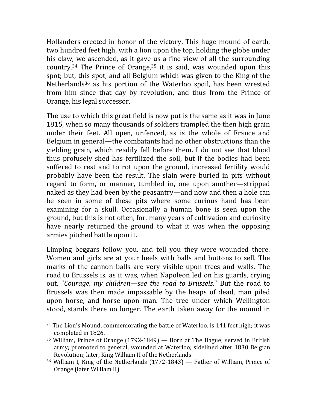Hollanders erected in honor of the victory. This huge mound of earth, two hundred feet high, with a lion upon the top, holding the globe under his claw, we ascended, as it gave us a fine view of all the surrounding country.<sup>34</sup> The Prince of Orange,  $35$  it is said, was wounded upon this spot; but, this spot, and all Belgium which was given to the King of the Netherlands<sup>36</sup> as his portion of the Waterloo spoil, has been wrested from him since that day by revolution, and thus from the Prince of Orange, his legal successor.

The use to which this great field is now put is the same as it was in June 1815, when so many thousands of soldiers trampled the then high grain under their feet. All open, unfenced, as is the whole of France and Belgium in general—the combatants had no other obstructions than the yielding grain, which readily fell before them. I do not see that blood thus profusely shed has fertilized the soil, but if the bodies had been suffered to rest and to rot upon the ground, increased fertility would probably have been the result. The slain were buried in pits without regard to form, or manner, tumbled in, one upon another—stripped naked as they had been by the peasantry—and now and then a hole can be seen in some of these pits where some curious hand has been examining for a skull. Occasionally a human bone is seen upon the ground, but this is not often, for, many years of cultivation and curiosity have nearly returned the ground to what it was when the opposing armies pitched battle upon it.

Limping beggars follow you, and tell you they were wounded there. Women and girls are at your heels with balls and buttons to sell. The marks of the cannon balls are very visible upon trees and walls. The road to Brussels is, as it was, when Napoleon led on his guards, crying out, "*Courage, my children—see the road to Brussels*." But the road to Brussels was then made impassable by the heaps of dead, man piled upon horse, and horse upon man. The tree under which Wellington stood, stands there no longer. The earth taken away for the mound in

 $34$  The Lion's Mound, commemorating the battle of Waterloo, is 141 feet high; it was completed in 1826.

 $35$  William, Prince of Orange (1792-1849) — Born at The Hague; served in British army; promoted to general; wounded at Waterloo; sidelined after 1830 Belgian Revolution; later, King William II of the Netherlands

 $36$  William I, King of the Netherlands  $(1772-1843)$  – Father of William, Prince of Orange (later William II)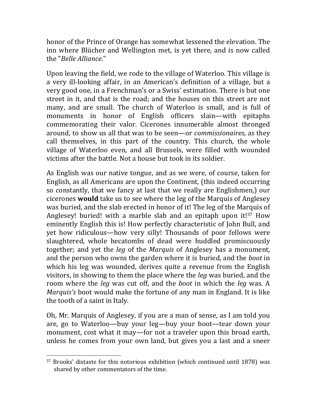honor of the Prince of Orange has somewhat lessened the elevation. The inn where Blücher and Wellington met, is yet there, and is now called the "*Belle Alliance*."

Upon leaving the field, we rode to the village of Waterloo. This village is a very ill-looking affair, in an American's definition of a village, but a very good one, in a Frenchman's or a Swiss' estimation. There is but one street in it, and that is the road; and the houses on this street are not many, and are small. The church of Waterloo is small, and is full of monuments in honor of English officers slain—with epitaphs commemorating their valor. Cicerones innumerable almost thronged around, to show us all that was to be seen—or *commissionaires*, as they call themselves, in this part of the country. This church, the whole village of Waterloo even, and all Brussels, were filled with wounded victims after the battle. Not a house but took in its soldier.

As English was our native tongue, and as we were, of course, taken for English, as all Americans are upon the Continent, (this indeed occurring so constantly, that we fancy at last that we really are Englishmen,) our cicerones **would** take us to see where the leg of the Marquis of Anglesey was buried, and the slab erected in honor of it! The leg of the Marquis of Anglesey! buried! with a marble slab and an epitaph upon  $it!^{37}$  How eminently English this is! How perfectly characteristic of John Bull, and yet how ridiculous—how very silly! Thousands of poor fellows were slaughtered, whole hecatombs of dead were huddled promiscuously together; and yet the *leg* of the *Marquis* of Anglesey has a monument, and the person who owns the garden where it is buried, and the *boot* in which his leg was wounded, derives quite a revenue from the English visitors, in showing to them the place where the *leg* was buried, and the room where the *leg* was cut off, and the *boot* in which the *leg* was. A *Marquis's* boot would make the fortune of any man in England. It is like the tooth of a saint in Italy.

Oh, Mr. Marquis of Anglesey, if you are a man of sense, as I am told you are, go to Waterloo—buy your leg—buy your boot—tear down your monument, cost what it may—for not a traveler upon this broad earth, unless he comes from your own land, but gives you a last and a sneer

<sup>&</sup>lt;sup>37</sup> Brooks' distaste for this notorious exhibition (which continued until 1878) was shared by other commentators of the time.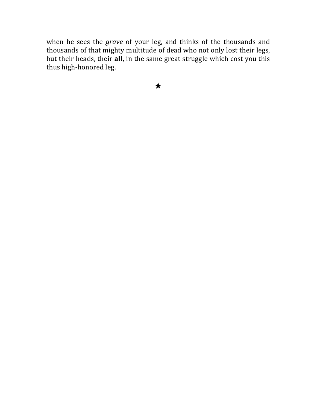when he sees the *grave* of your leg, and thinks of the thousands and thousands of that mighty multitude of dead who not only lost their legs, but their heads, their all, in the same great struggle which cost you this thus high-honored leg.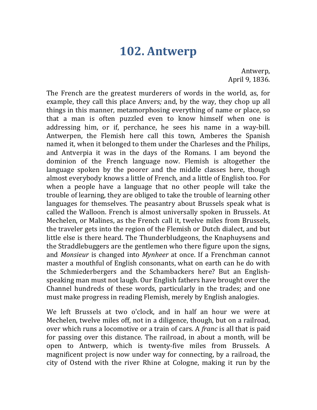### **102. Antwerp**

Antwerp, April 9, 1836.

The French are the greatest murderers of words in the world, as, for example, they call this place Anvers; and, by the way, they chop up all things in this manner, metamorphosing everything of name or place, so that a man is often puzzled even to know himself when one is addressing him, or if, perchance, he sees his name in a way-bill. Antwerpen, the Flemish here call this town, Amberes the Spanish named it, when it belonged to them under the Charleses and the Philips, and Antverpia it was in the days of the Romans. I am beyond the dominion of the French language now. Flemish is altogether the language spoken by the poorer and the middle classes here, though almost everybody knows a little of French, and a little of English too. For when a people have a language that no other people will take the trouble of learning, they are obliged to take the trouble of learning other languages for themselves. The peasantry about Brussels speak what is called the Walloon. French is almost universally spoken in Brussels. At Mechelen, or Malines, as the French call it, twelve miles from Brussels, the traveler gets into the region of the Flemish or Dutch dialect, and but little else is there heard. The Thunderbludgeons, the Knaphuysens and the Straddlebuggers are the gentlemen who there figure upon the signs, and *Monsieur* is changed into *Mynheer* at once. If a Frenchman cannot master a mouthful of English consonants, what on earth can he do with the Schmiederbergers and the Schambackers here? But an Englishspeaking man must not laugh. Our English fathers have brought over the Channel hundreds of these words, particularly in the trades; and one must make progress in reading Flemish, merely by English analogies.

We left Brussels at two o'clock, and in half an hour we were at Mechelen, twelve miles off, not in a diligence, though, but on a railroad, over which runs a locomotive or a train of cars. A *franc* is all that is paid for passing over this distance. The railroad, in about a month, will be open to Antwerp, which is twenty-five miles from Brussels. A magnificent project is now under way for connecting, by a railroad, the city of Ostend with the river Rhine at Cologne, making it run by the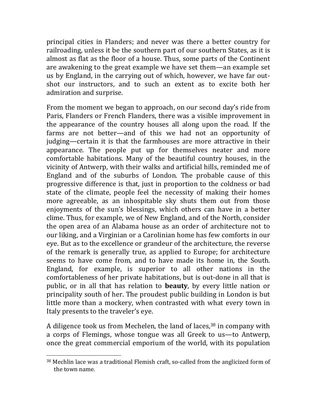principal cities in Flanders; and never was there a better country for railroading, unless it be the southern part of our southern States, as it is almost as flat as the floor of a house. Thus, some parts of the Continent are awakening to the great example we have set them—an example set us by England, in the carrying out of which, however, we have far outshot our instructors, and to such an extent as to excite both her admiration and surprise.

From the moment we began to approach, on our second day's ride from Paris, Flanders or French Flanders, there was a visible improvement in the appearance of the country houses all along upon the road. If the farms are not better—and of this we had not an opportunity of judging—certain it is that the farmhouses are more attractive in their appearance. The people put up for themselves neater and more comfortable habitations. Many of the beautiful country houses, in the vicinity of Antwerp, with their walks and artificial hills, reminded me of England and of the suburbs of London. The probable cause of this progressive difference is that, just in proportion to the coldness or bad state of the climate, people feel the necessity of making their homes more agreeable, as an inhospitable sky shuts them out from those enjoyments of the sun's blessings, which others can have in a better clime. Thus, for example, we of New England, and of the North, consider the open area of an Alabama house as an order of architecture not to our liking, and a Virginian or a Carolinian home has few comforts in our eye. But as to the excellence or grandeur of the architecture, the reverse of the remark is generally true, as applied to Europe; for architecture seems to have come from, and to have made its home in, the South. England, for example, is superior to all other nations in the comfortableness of her private habitations, but is out-done in all that is public, or in all that has relation to **beauty**, by every little nation or principality south of her. The proudest public building in London is but little more than a mockery, when contrasted with what every town in Italy presents to the traveler's eye.

A diligence took us from Mechelen, the land of laces,<sup>38</sup> in company with a corps of Flemings, whose tongue was all Greek to us—to Antwerp, once the great commercial emporium of the world, with its population

 $38$  Mechlin lace was a traditional Flemish craft, so-called from the anglicized form of the town name.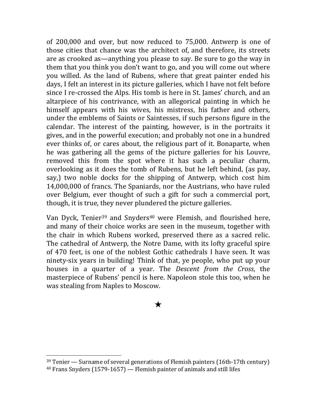of 200,000 and over, but now reduced to 75,000. Antwerp is one of those cities that chance was the architect of, and therefore, its streets are as crooked as—anything you please to say. Be sure to go the way in them that you think you don't want to go, and you will come out where you willed. As the land of Rubens, where that great painter ended his days, I felt an interest in its picture galleries, which I have not felt before since I re-crossed the Alps. His tomb is here in St. James' church, and an altarpiece of his contrivance, with an allegorical painting in which he himself appears with his wives, his mistress, his father and others, under the emblems of Saints or Saintesses, if such persons figure in the calendar. The interest of the painting, however, is in the portraits it gives, and in the powerful execution; and probably not one in a hundred ever thinks of, or cares about, the religious part of it. Bonaparte, when he was gathering all the gems of the picture galleries for his Louvre, removed this from the spot where it has such a peculiar charm, overlooking as it does the tomb of Rubens, but he left behind, (as pay, say,) two noble docks for the shipping of Antwerp, which cost him 14,000,000 of francs. The Spaniards, nor the Austrians, who have ruled over Belgium, ever thought of such a gift for such a commercial port, though, it is true, they never plundered the picture galleries.

Van Dyck, Tenier<sup>39</sup> and Snyders<sup>40</sup> were Flemish, and flourished here, and many of their choice works are seen in the museum, together with the chair in which Rubens worked, preserved there as a sacred relic. The cathedral of Antwerp, the Notre Dame, with its lofty graceful spire of 470 feet, is one of the noblest Gothic cathedrals I have seen. It was ninety-six years in building! Think of that, ye people, who put up your houses in a quarter of a year. The *Descent from the Cross*, the masterpiece of Rubens' pencil is here. Napoleon stole this too, when he was stealing from Naples to Moscow.

### ★

 $39$  Tenier — Surname of several generations of Flemish painters (16th-17th century)  $40$  Frans Snyders (1579-1657) — Flemish painter of animals and still lifes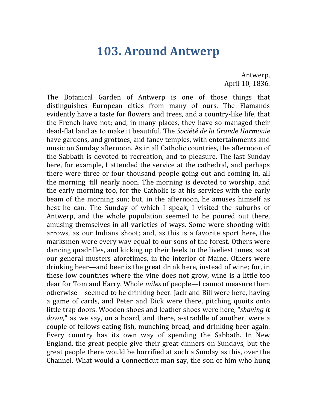### **103. Around Antwerp**

Antwerp, April 10, 1836.

The Botanical Garden of Antwerp is one of those things that distinguishes European cities from many of ours. The Flamands evidently have a taste for flowers and trees, and a country-like life, that the French have not; and, in many places, they have so managed their dead-flat land as to make it beautiful. The *Société de la Grande Harmonie* have gardens, and grottoes, and fancy temples, with entertainments and music on Sunday afternoon. As in all Catholic countries, the afternoon of the Sabbath is devoted to recreation, and to pleasure. The last Sunday here, for example, I attended the service at the cathedral, and perhaps there were three or four thousand people going out and coming in, all the morning, till nearly noon. The morning is devoted to worship, and the early morning too, for the Catholic is at his services with the early beam of the morning sun; but, in the afternoon, he amuses himself as best he can. The Sunday of which I speak, I visited the suburbs of Antwerp, and the whole population seemed to be poured out there, amusing themselves in all varieties of ways. Some were shooting with arrows, as our Indians shoot; and, as this is a favorite sport here, the marksmen were every way equal to our sons of the forest. Others were dancing quadrilles, and kicking up their heels to the liveliest tunes, as at our general musters aforetimes, in the interior of Maine. Others were drinking beer—and beer is the great drink here, instead of wine; for, in these low countries where the vine does not grow, wine is a little too dear for Tom and Harry. Whole *miles* of people—I cannot measure them otherwise—seemed to be drinking beer. Jack and Bill were here, having a game of cards, and Peter and Dick were there, pitching quoits onto little trap doors. Wooden shoes and leather shoes were here, "*shaving it down*," as we say, on a board, and there, a-straddle of another, were a couple of fellows eating fish, munching bread, and drinking beer again. Every country has its own way of spending the Sabbath. In New England, the great people give their great dinners on Sundays, but the great people there would be horrified at such a Sunday as this, over the Channel. What would a Connecticut man say, the son of him who hung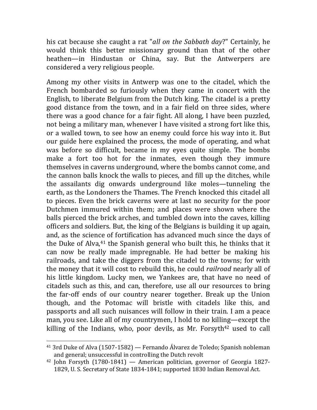his cat because she caught a rat "all on the Sabbath day?" Certainly, he would think this better missionary ground than that of the other heathen—in Hindustan or China, say. But the Antwerpers are considered a very religious people.

Among my other visits in Antwerp was one to the citadel, which the French bombarded so furiously when they came in concert with the English, to liberate Belgium from the Dutch king. The citadel is a pretty good distance from the town, and in a fair field on three sides, where there was a good chance for a fair fight. All along, I have been puzzled, not being a military man, whenever I have visited a strong fort like this, or a walled town, to see how an enemy could force his way into it. But our guide here explained the process, the mode of operating, and what was before so difficult, became in my eyes quite simple. The bombs make a fort too hot for the inmates, even though they immure themselves in caverns underground, where the bombs cannot come, and the cannon balls knock the walls to pieces, and fill up the ditches, while the assailants dig onwards underground like moles—tunneling the earth, as the Londoners the Thames. The French knocked this citadel all to pieces. Even the brick caverns were at last no security for the poor Dutchmen immured within them; and places were shown where the balls pierced the brick arches, and tumbled down into the caves, killing officers and soldiers. But, the king of the Belgians is building it up again, and, as the science of fortification has advanced much since the days of the Duke of Alva,<sup>41</sup> the Spanish general who built this, he thinks that it can now be really made impregnable. He had better be making his railroads, and take the diggers from the citadel to the towns; for with the money that it will cost to rebuild this, he could *railroad* nearly all of his little kingdom. Lucky men, we Yankees are, that have no need of citadels such as this, and can, therefore, use all our resources to bring the far-off ends of our country nearer together. Break up the Union though, and the Potomac will bristle with citadels like this, and passports and all such nuisances will follow in their train. I am a peace man, you see. Like all of my countrymen, I hold to no killing—except the killing of the Indians, who, poor devils, as Mr. Forsyth<sup>42</sup> used to call

<sup>&</sup>lt;sup>41</sup> 3rd Duke of Alva (1507-1582) — Fernando Álvarez de Toledo; Spanish nobleman and general; unsuccessful in controlling the Dutch revolt

 $42$  John Forsyth (1780-1841) — American politician, governor of Georgia 1827-1829, U. S. Secretary of State 1834-1841; supported 1830 Indian Removal Act.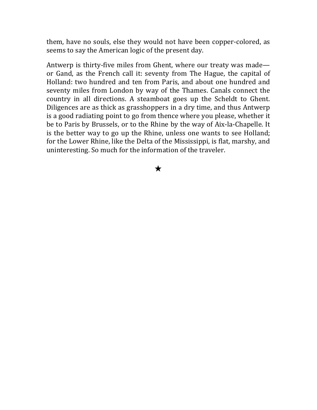them, have no souls, else they would not have been copper-colored, as seems to say the American logic of the present day.

Antwerp is thirty-five miles from Ghent, where our treaty was made or Gand, as the French call it: seventy from The Hague, the capital of Holland: two hundred and ten from Paris, and about one hundred and seventy miles from London by way of the Thames. Canals connect the country in all directions. A steamboat goes up the Scheldt to Ghent. Diligences are as thick as grasshoppers in a dry time, and thus Antwerp is a good radiating point to go from thence where you please, whether it be to Paris by Brussels, or to the Rhine by the way of Aix-la-Chapelle. It is the better way to go up the Rhine, unless one wants to see Holland; for the Lower Rhine, like the Delta of the Mississippi, is flat, marshy, and uninteresting. So much for the information of the traveler.

★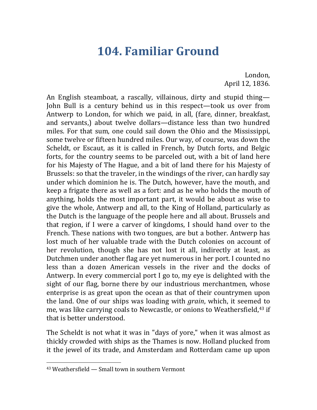# **104. Familiar Ground**

London, April 12, 1836.

An English steamboat, a rascally, villainous, dirty and stupid thing— John Bull is a century behind us in this respect—took us over from Antwerp to London, for which we paid, in all, (fare, dinner, breakfast, and servants,) about twelve dollars—distance less than two hundred miles. For that sum, one could sail down the Ohio and the Mississippi, some twelve or fifteen hundred miles. Our way, of course, was down the Scheldt, or Escaut, as it is called in French, by Dutch forts, and Belgic forts, for the country seems to be parceled out, with a bit of land here for his Majesty of The Hague, and a bit of land there for his Majesty of Brussels: so that the traveler, in the windings of the river, can hardly say under which dominion he is. The Dutch, however, have the mouth, and keep a frigate there as well as a fort: and as he who holds the mouth of anything, holds the most important part, it would be about as wise to give the whole, Antwerp and all, to the King of Holland, particularly as the Dutch is the language of the people here and all about. Brussels and that region, if I were a carver of kingdoms, I should hand over to the French. These nations with two tongues, are but a bother. Antwerp has lost much of her valuable trade with the Dutch colonies on account of her revolution, though she has not lost it all, indirectly at least, as Dutchmen under another flag are yet numerous in her port. I counted no less than a dozen American vessels in the river and the docks of Antwerp. In every commercial port I go to, my eye is delighted with the sight of our flag, borne there by our industrious merchantmen, whose enterprise is as great upon the ocean as that of their countrymen upon the land. One of our ships was loading with *grain*, which, it seemed to me, was like carrying coals to Newcastle, or onions to Weathersfield,<sup>43</sup> if that is better understood.

The Scheldt is not what it was in "days of yore," when it was almost as thickly crowded with ships as the Thames is now. Holland plucked from it the jewel of its trade, and Amsterdam and Rotterdam came up upon

 $43$  Weathersfield  $-$  Small town in southern Vermont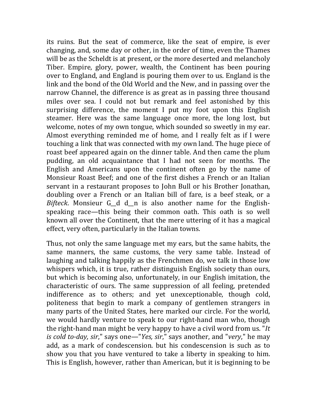its ruins. But the seat of commerce, like the seat of empire, is ever changing, and, some day or other, in the order of time, even the Thames will be as the Scheldt is at present, or the more deserted and melancholy Tiber. Empire, glory, power, wealth, the Continent has been pouring over to England, and England is pouring them over to us. England is the link and the bond of the Old World and the New, and in passing over the narrow Channel, the difference is as great as in passing three thousand miles over sea. I could not but remark and feel astonished by this surprising difference, the moment I put my foot upon this English steamer. Here was the same language once more, the long lost, but welcome, notes of my own tongue, which sounded so sweetly in my ear. Almost everything reminded me of home, and I really felt as if I were touching a link that was connected with my own land. The huge piece of roast beef appeared again on the dinner table. And then came the plum pudding, an old acquaintance that I had not seen for months. The English and Americans upon the continent often go by the name of Monsieur Roast Beef; and one of the first dishes a French or an Italian servant in a restaurant proposes to John Bull or his Brother Jonathan, doubling over a French or an Italian bill of fare, is a beef steak, or a *Bifteck*. Monsieur  $G_d$  d<sub>n</sub> is also another name for the Englishspeaking race—this being their common oath. This oath is so well known all over the Continent, that the mere uttering of it has a magical effect, very often, particularly in the Italian towns.

Thus, not only the same language met my ears, but the same habits, the same manners, the same customs, the very same table. Instead of laughing and talking happily as the Frenchmen do, we talk in those low whispers which, it is true, rather distinguish English society than ours, but which is becoming also, unfortunately, in our English imitation, the characteristic of ours. The same suppression of all feeling, pretended indifference as to others; and yet unexceptionable, though cold, politeness that begin to mark a company of gentlemen strangers in many parts of the United States, here marked our circle. For the world, we would hardly venture to speak to our right-hand man who, though the right-hand man might be very happy to have a civil word from us. "*It is cold to-day, sir*," says one—"*Yes, sir*," says another, and "*very*," he may add, as a mark of condescension, but his condescension is such as to show you that you have ventured to take a liberty in speaking to him. This is English, however, rather than American, but it is beginning to be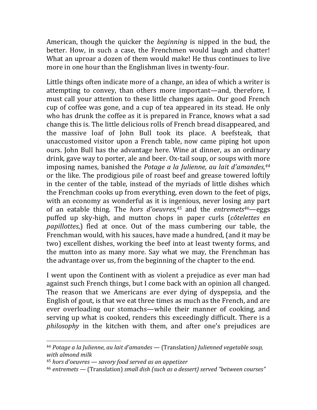American, though the quicker the *beginning* is nipped in the bud, the better. How, in such a case, the Frenchmen would laugh and chatter! What an uproar a dozen of them would make! He thus continues to live more in one hour than the Englishman lives in twenty-four.

Little things often indicate more of a change, an idea of which a writer is attempting to convey, than others more important—and, therefore, I must call your attention to these little changes again. Our good French cup of coffee was gone, and a cup of tea appeared in its stead. He only who has drunk the coffee as it is prepared in France, knows what a sad change this is. The little delicious rolls of French bread disappeared, and the massive loaf of John Bull took its place. A beefsteak, that unaccustomed visitor upon a French table, now came piping hot upon ours. John Bull has the advantage here. Wine at dinner, as an ordinary drink, gave way to porter, ale and beer. Ox-tail soup, or soups with more imposing names, banished the Potage a la Julienne, au lait d'amandes,<sup>44</sup> or the like. The prodigious pile of roast beef and grease towered loftily in the center of the table, instead of the myriads of little dishes which the Frenchman cooks up from everything, even down to the feet of pigs, with an economy as wonderful as it is ingenious, never losing any part of an eatable thing. The *hors d'oeuvres*,<sup>45</sup> and the *entremets*<sup>46</sup>—eggs puffed up sky-high, and mutton chops in paper curls (*côtelettes en*) *papillottes*,) fled at once. Out of the mass cumbering our table, the Frenchman would, with his sauces, have made a hundred, (and it may be two) excellent dishes, working the beef into at least twenty forms, and the mutton into as many more. Say what we may, the Frenchman has the advantage over us, from the beginning of the chapter to the end.

I went upon the Continent with as violent a prejudice as ever man had against such French things, but I come back with an opinion all changed. The reason that we Americans are ever dying of dyspepsia, and the English of gout, is that we eat three times as much as the French, and are ever overloading our stomachs—while their manner of cooking, and serving up what is cooked, renders this exceedingly difficult. There is a *philosophy* in the kitchen with them, and after one's prejudices are

<sup>&</sup>lt;sup>44</sup> Potage a la Julienne, au lait d'amandes — (Translation) Julienned vegetable soup, *with almond milk*

<sup>&</sup>lt;sup>45</sup> hors d'oeuvres — savory food served as an appetizer

<sup>&</sup>lt;sup>46</sup> entremets — (Translation) *small dish (such as a dessert) served "between courses"*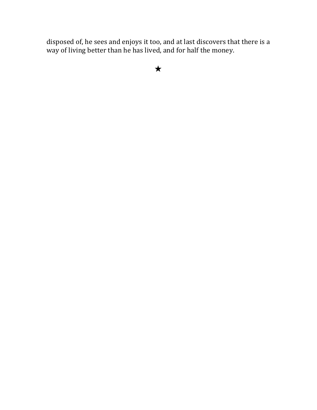disposed of, he sees and enjoys it too, and at last discovers that there is a way of living better than he has lived, and for half the money.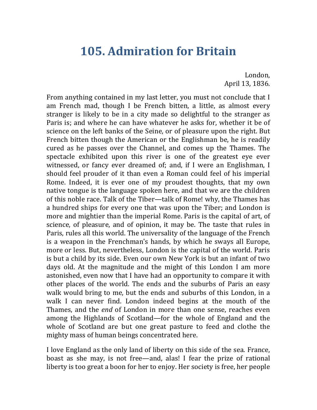## **105. Admiration for Britain**

London, April 13, 1836.

From anything contained in my last letter, you must not conclude that I am French mad, though I be French bitten, a little, as almost every stranger is likely to be in a city made so delightful to the stranger as Paris is; and where he can have whatever he asks for, whether it be of science on the left banks of the Seine, or of pleasure upon the right. But French bitten though the American or the Englishman be, he is readily cured as he passes over the Channel, and comes up the Thames. The spectacle exhibited upon this river is one of the greatest eve ever witnessed, or fancy ever dreamed of; and, if I were an Englishman, I should feel prouder of it than even a Roman could feel of his imperial Rome. Indeed, it is ever one of my proudest thoughts, that my own native tongue is the language spoken here, and that we are the children of this noble race. Talk of the Tiber—talk of Rome! why, the Thames has a hundred ships for every one that was upon the Tiber; and London is more and mightier than the imperial Rome. Paris is the capital of art, of science, of pleasure, and of opinion, it may be. The taste that rules in Paris, rules all this world. The universality of the language of the French is a weapon in the Frenchman's hands, by which he sways all Europe, more or less. But, nevertheless, London is the capital of the world. Paris is but a child by its side. Even our own New York is but an infant of two days old. At the magnitude and the might of this London I am more astonished, even now that I have had an opportunity to compare it with other places of the world. The ends and the suburbs of Paris an easy walk would bring to me, but the ends and suburbs of this London, in a walk I can never find. London indeed begins at the mouth of the Thames, and the *end* of London in more than one sense, reaches even among the Highlands of Scotland—for the whole of England and the whole of Scotland are but one great pasture to feed and clothe the mighty mass of human beings concentrated here.

I love England as the only land of liberty on this side of the sea. France, boast as she may, is not free—and, alas! I fear the prize of rational liberty is too great a boon for her to enjoy. Her society is free, her people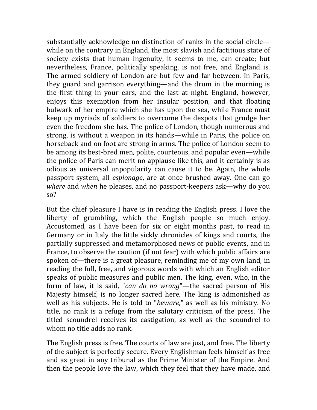substantially acknowledge no distinction of ranks in the social circle while on the contrary in England, the most slavish and factitious state of society exists that human ingenuity, it seems to me, can create; but nevertheless, France, politically speaking, is not free, and England is. The armed soldiery of London are but few and far between. In Paris, they guard and garrison everything—and the drum in the morning is the first thing in your ears, and the last at night. England, however, enjoys this exemption from her insular position, and that floating bulwark of her empire which she has upon the sea, while France must keep up myriads of soldiers to overcome the despots that grudge her even the freedom she has. The police of London, though numerous and strong, is without a weapon in its hands—while in Paris, the police on horseback and on foot are strong in arms. The police of London seem to be among its best-bred men, polite, courteous, and popular even—while the police of Paris can merit no applause like this, and it certainly is as odious as universal unpopularity can cause it to be. Again, the whole passport system, all *espionage*, are at once brushed away. One can go *where* and *when* he pleases, and no passport-keepers ask—why do you so? 

But the chief pleasure I have is in reading the English press. I love the liberty of grumbling, which the English people so much enjoy. Accustomed, as I have been for six or eight months past, to read in Germany or in Italy the little sickly chronicles of kings and courts, the partially suppressed and metamorphosed news of public events, and in France, to observe the caution (if not fear) with which public affairs are spoken of—there is a great pleasure, reminding me of my own land, in reading the full, free, and vigorous words with which an English editor speaks of public measures and public men. The king, even, who, in the form of law, it is said, "*can do no wrong*"—the sacred person of His Majesty himself, is no longer sacred here. The king is admonished as well as his subjects. He is told to "*beware*," as well as his ministry. No title, no rank is a refuge from the salutary criticism of the press. The titled scoundrel receives its castigation, as well as the scoundrel to whom no title adds no rank.

The English press is free. The courts of law are just, and free. The liberty of the subject is perfectly secure. Every Englishman feels himself as free and as great in any tribunal as the Prime Minister of the Empire. And then the people love the law, which they feel that they have made, and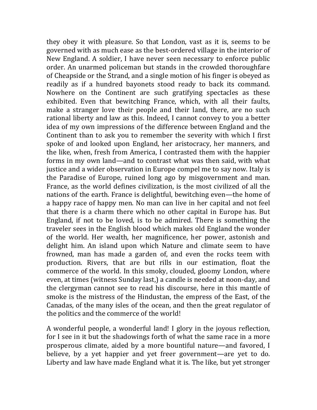they obey it with pleasure. So that London, vast as it is, seems to be governed with as much ease as the best-ordered village in the interior of New England. A soldier, I have never seen necessary to enforce public order. An unarmed policeman but stands in the crowded thoroughfare of Cheapside or the Strand, and a single motion of his finger is obeyed as readily as if a hundred bayonets stood ready to back its command. Nowhere on the Continent are such gratifying spectacles as these exhibited. Even that bewitching France, which, with all their faults, make a stranger love their people and their land, there, are no such rational liberty and law as this. Indeed, I cannot convey to you a better idea of my own impressions of the difference between England and the Continent than to ask you to remember the severity with which I first spoke of and looked upon England, her aristocracy, her manners, and the like, when, fresh from America, I contrasted them with the happier forms in my own land—and to contrast what was then said, with what justice and a wider observation in Europe compel me to say now. Italy is the Paradise of Europe, ruined long ago by misgovernment and man. France, as the world defines civilization, is the most civilized of all the nations of the earth. France is delightful, bewitching even—the home of a happy race of happy men. No man can live in her capital and not feel that there is a charm there which no other capital in Europe has. But England, if not to be loved, is to be admired. There is something the traveler sees in the English blood which makes old England the wonder of the world. Her wealth, her magnificence, her power, astonish and delight him. An island upon which Nature and climate seem to have frowned, man has made a garden of, and even the rocks teem with production. Rivers, that are but rills in our estimation, float the commerce of the world. In this smoky, clouded, gloomy London, where even, at times (witness Sunday last,) a candle is needed at noon-day, and the clergyman cannot see to read his discourse, here in this mantle of smoke is the mistress of the Hindustan, the empress of the East, of the Canadas, of the many isles of the ocean, and then the great regulator of the politics and the commerce of the world!

A wonderful people, a wonderful land! I glory in the joyous reflection, for I see in it but the shadowings forth of what the same race in a more prosperous climate, aided by a more bountiful nature—and favored, I believe, by a yet happier and yet freer government—are yet to do. Liberty and law have made England what it is. The like, but yet stronger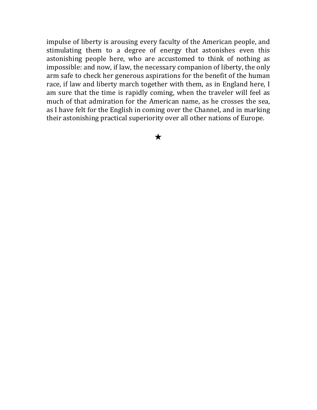impulse of liberty is arousing every faculty of the American people, and stimulating them to a degree of energy that astonishes even this astonishing people here, who are accustomed to think of nothing as impossible: and now, if law, the necessary companion of liberty, the only arm safe to check her generous aspirations for the benefit of the human race, if law and liberty march together with them, as in England here, I am sure that the time is rapidly coming, when the traveler will feel as much of that admiration for the American name, as he crosses the sea, as I have felt for the English in coming over the Channel, and in marking their astonishing practical superiority over all other nations of Europe.

★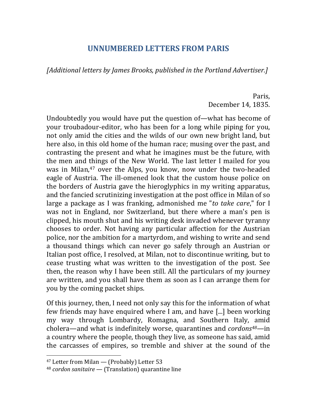#### **UNNUMBERED LETTERS FROM PARIS**

*[Additional letters by James Brooks, published in the Portland Advertiser.]* 

Paris, December 14, 1835.

Undoubtedly you would have put the question of—what has become of your troubadour-editor, who has been for a long while piping for you, not only amid the cities and the wilds of our own new bright land, but here also, in this old home of the human race; musing over the past, and contrasting the present and what he imagines must be the future, with the men and things of the New World. The last letter I mailed for you was in Milan,<sup>47</sup> over the Alps, you know, now under the two-headed eagle of Austria. The ill-omened look that the custom house police on the borders of Austria gave the hieroglyphics in my writing apparatus, and the fancied scrutinizing investigation at the post office in Milan of so large a package as I was franking, admonished me "to take care," for I was not in England, nor Switzerland, but there where a man's pen is clipped, his mouth shut and his writing desk invaded whenever tyranny chooses to order. Not having any particular affection for the Austrian police, nor the ambition for a martyrdom, and wishing to write and send a thousand things which can never go safely through an Austrian or Italian post office, I resolved, at Milan, not to discontinue writing, but to cease trusting what was written to the investigation of the post. See then, the reason why I have been still. All the particulars of my journey are written, and you shall have them as soon as I can arrange them for you by the coming packet ships.

Of this journey, then, I need not only say this for the information of what few friends may have enquired where I am, and have [...] been working my way through Lombardy, Romagna, and Southern Italy, amid cholera—and what is indefinitely worse, quarantines and *cordons<sup>48</sup>—*in a country where the people, though they live, as someone has said, amid the carcasses of empires, so tremble and shiver at the sound of the

 $47$  Letter from Milan — (Probably) Letter 53

<sup>&</sup>lt;sup>48</sup> *cordon sanitaire* — (Translation) quarantine line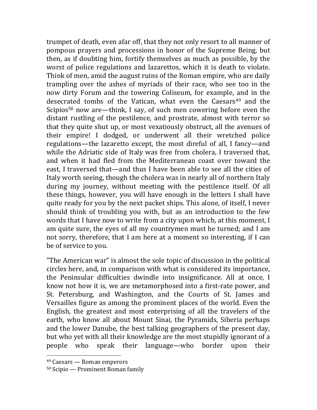trumpet of death, even afar off, that they not only resort to all manner of pompous prayers and processions in honor of the Supreme Being, but then, as if doubting him, fortify themselves as much as possible, by the worst of police regulations and lazarettos, which it is death to violate. Think of men, amid the august ruins of the Roman empire, who are daily trampling over the ashes of myriads of their race, who see too in the now dirty Forum and the towering Coliseum, for example, and in the desecrated tombs of the Vatican, what even the Caesars<sup>49</sup> and the Scipios<sup>50</sup> now are—think, I say, of such men cowering before even the distant rustling of the pestilence, and prostrate, almost with terror so that they quite shut up, or most vexatiously obstruct, all the avenues of their empire! I dodged, or underwent all their wretched police regulations—the lazaretto except, the most direful of all, I fancy—and while the Adriatic side of Italy was free from cholera, I traversed that, and when it had fled from the Mediterranean coast over toward the east. I traversed that—and thus I have been able to see all the cities of Italy worth seeing, though the cholera was in nearly all of northern Italy during my journey, without meeting with the pestilence itself. Of all these things, however, you will have enough in the letters I shall have quite ready for you by the next packet ships. This alone, of itself, I never should think of troubling you with, but as an introduction to the few words that I have now to write from a city upon which, at this moment, I am quite sure, the eyes of all my countrymen must he turned; and I am not sorry, therefore, that I am here at a moment so interesting, if I can be of service to you.

"The American war" is almost the sole topic of discussion in the political circles here, and, in comparison with what is considered its importance, the Peninsular difficulties dwindle into insignificance. All at once, I know not how it is, we are metamorphosed into a first-rate power, and St. Petersburg, and Washington, and the Courts of St. James and Versailles figure as among the prominent places of the world. Even the English, the greatest and most enterprising of all the travelers of the earth, who know all about Mount Sinai, the Pyramids, Siberia perhaps and the lower Danube, the best talking geographers of the present day, but who yet with all their knowledge are the most stupidly ignorant of a people who speak their language—who border upon their 

  $49$  Caesars — Roman emperors

 $50$  Scipio — Prominent Roman family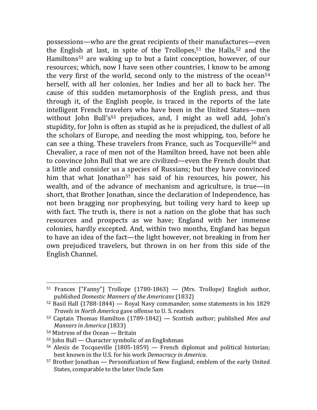possessions—who are the great recipients of their manufactures—even the English at last, in spite of the Trollopes, $51$  the Halls, $52$  and the Hamiltons<sup>53</sup> are waking up to but a faint conception, however, of our resources; which, now I have seen other countries, I know to be among the very first of the world, second only to the mistress of the ocean<sup>54</sup> herself, with all her colonies, her Indies and her all to back her. The cause of this sudden metamorphosis of the English press, and thus through it, of the English people, is traced in the reports of the late intelligent French travelers who have been in the United States—men without John Bull's<sup>55</sup> prejudices, and, I might as well add, John's stupidity, for John is often as stupid as he is prejudiced, the dullest of all the scholars of Europe, and needing the most whipping, too, before he can see a thing. These travelers from France, such as Tocqueville<sup>56</sup> and Chevalier, a race of men not of the Hamilton breed, have not been able to convince John Bull that we are civilized—even the French doubt that a little and consider us a species of Russians; but they have convinced him that what Jonathan<sup>57</sup> has said of his resources, his power, his wealth, and of the advance of mechanism and agriculture, is true—in short, that Brother Jonathan, since the declaration of Independence, has not been bragging nor prophesying, but toiling very hard to keep up with fact. The truth is, there is not a nation on the globe that has such resources and prospects as we have; England with her immense colonies, hardly excepted. And, within two months, England has begun to have an idea of the fact—the light however, not breaking in from her own prejudiced travelers, but thrown in on her from this side of the English Channel.

<sup>&</sup>lt;sup>51</sup> Frances ["Fanny"] Trollope  $(1780-1863)$  — (Mrs. Trollope) English author, published *Domestic Manners of the Americans* (1832)

 $52$  Basil Hall (1788-1844) — Royal Navy commander; some statements in his 1829 *Travels in North America* gave offense to U.S. readers

 $53$  Captain Thomas Hamilton  $(1789-1842)$  — Scottish author; published *Men and Manners in America* (1833)

 $54$  Mistress of the Ocean — Britain

 $55$  John Bull — Character symbolic of an Englishman

 $56$  Alexis de Tocqueville (1805-1859) — French diplomat and political historian; best known in the U.S. for his work *Democracy in America*.

 $57$  Brother Jonathan  $-$  Personification of New England; emblem of the early United States, comparable to the later Uncle Sam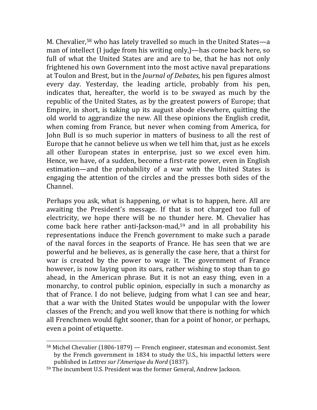M. Chevalier,<sup>58</sup> who has lately travelled so much in the United States—a man of intellect (I judge from his writing only,)—has come back here, so full of what the United States are and are to be, that he has not only frightened his own Government into the most active naval preparations at Toulon and Brest, but in the *Journal of Debates*, his pen figures almost every day. Yesterday, the leading article, probably from his pen, indicates that, hereafter, the world is to be swayed as much by the republic of the United States, as by the greatest powers of Europe; that Empire, in short, is taking up its august abode elsewhere, quitting the old world to aggrandize the new. All these opinions the English credit, when coming from France, but never when coming from America, for John Bull is so much superior in matters of business to all the rest of Europe that he cannot believe us when we tell him that, just as he excels all other European states in enterprise, just so we excel even him. Hence, we have, of a sudden, become a first-rate power, even in English estimation—and the probability of a war with the United States is engaging the attention of the circles and the presses both sides of the Channel.

Perhaps you ask, what is happening, or what is to happen, here. All are awaiting the President's message. If that is not charged too full of electricity, we hope there will be no thunder here. M. Chevalier has come back here rather anti-Jackson-mad, $59$  and in all probability his representations induce the French government to make such a parade of the naval forces in the seaports of France. He has seen that we are powerful and he believes, as is generally the case here, that a thirst for war is created by the power to wage it. The government of France however, is now laying upon its oars, rather wishing to stop than to go ahead, in the American phrase. But it is not an easy thing, even in a monarchy, to control public opinion, especially in such a monarchy as that of France. I do not believe, judging from what I can see and hear, that a war with the United States would be unpopular with the lower classes of the French; and you well know that there is nothing for which all Frenchmen would fight sooner, than for a point of honor, or perhaps, even a point of etiquette.

 $58$  Michel Chevalier (1806-1879) — French engineer, statesman and economist. Sent by the French government in 1834 to study the U.S., his impactful letters were published in *Lettres sur l'Amerique du Nord* (1837).

<sup>59</sup> The incumbent U.S. President was the former General, Andrew Jackson.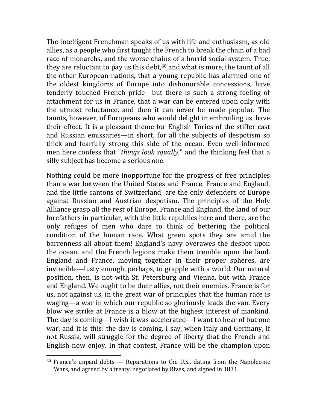The intelligent Frenchman speaks of us with life and enthusiasm, as old allies, as a people who first taught the French to break the chain of a bad race of monarchs, and the worse chains of a horrid social system. True, they are reluctant to pay us this debt, $60$  and what is more, the taunt of all the other European nations, that a young republic has alarmed one of the oldest kingdoms of Europe into dishonorable concessions, have tenderly touched French pride—but there is such a strong feeling of attachment for us in France, that a war can be entered upon only with the utmost reluctance, and then it can never be made popular. The taunts, however, of Europeans who would delight in embroiling us, have their effect. It is a pleasant theme for English Tories of the stiffer cast and Russian emissaries—in short, for all the subjects of despotism so thick and fearfully strong this side of the ocean. Even well-informed men here confess that "*things look squally*," and the thinking feel that a silly subject has become a serious one.

Nothing could be more inopportune for the progress of free principles than a war between the United States and France. France and England, and the little cantons of Switzerland, are the only defenders of Europe against Russian and Austrian despotism. The principles of the Holy Alliance grasp all the rest of Europe. France and England, the land of our forefathers in particular, with the little republics here and there, are the only refuges of men who dare to think of bettering the political condition of the human race. What green spots they are amid the barrenness all about them! England's navy overawes the despot upon the ocean, and the French legions make them tremble upon the land. England and France, moving together in their proper spheres, are invincible—lusty enough, perhaps, to grapple with a world. Our natural position, then, is not with St. Petersburg and Vienna, but with France and England. We ought to be their allies, not their enemies. France is for us, not against us, in the great war of principles that the human race is waging—a war in which our republic so gloriously leads the van. Every blow we strike at France is a blow at the highest interest of mankind. The day is coming—I wish it was accelerated—I want to hear of but one war, and it is this: the day is coming, I say, when Italy and Germany, if not Russia, will struggle for the degree of liberty that the French and English now enjoy. In that contest, France will be the champion upon

 $60$  France's unpaid debts  $-$  Reparations to the U.S., dating from the Napoleonic Wars, and agreed by a treaty, negotiated by Rives, and signed in 1831.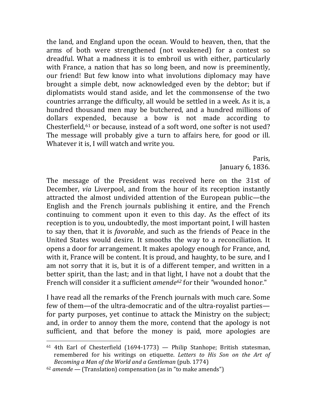the land, and England upon the ocean. Would to heaven, then, that the arms of both were strengthened (not weakened) for a contest so dreadful. What a madness it is to embroil us with either, particularly with France, a nation that has so long been, and now is preeminently, our friend! But few know into what involutions diplomacy may have brought a simple debt, now acknowledged even by the debtor; but if diplomatists would stand aside, and let the commonsense of the two countries arrange the difficulty, all would be settled in a week. As it is, a hundred thousand men may be butchered, and a hundred millions of dollars expended, because a bow is not made according to Chesterfield, $61$  or because, instead of a soft word, one softer is not used? The message will probably give a turn to affairs here, for good or ill. Whatever it is, I will watch and write you.

> Paris, January  $6, 1836$ .

The message of the President was received here on the 31st of December, *via* Liverpool, and from the hour of its reception instantly attracted the almost undivided attention of the European public—the English and the French journals publishing it entire, and the French continuing to comment upon it even to this day. As the effect of its reception is to you, undoubtedly, the most important point, I will hasten to say then, that it is *favorable*, and such as the friends of Peace in the United States would desire. It smooths the way to a reconciliation. It opens a door for arrangement. It makes apology enough for France, and, with it, France will be content. It is proud, and haughty, to be sure, and I am not sorry that it is, but it is of a different temper, and written in a better spirit, than the last; and in that light, I have not a doubt that the French will consider it a sufficient *amende*<sup>62</sup> for their "wounded honor."

I have read all the remarks of the French journals with much care. Some few of them—of the ultra-democratic and of the ultra-royalist parties for party purposes, yet continue to attack the Ministry on the subject; and, in order to annoy them the more, contend that the apology is not sufficient, and that before the money is paid, more apologies are

 $61$  4th Earl of Chesterfield (1694-1773) — Philip Stanhope; British statesman, remembered for his writings on etiquette. Letters to His Son on the Art of *Becoming a Man of the World and a Gentleman* (pub. 1774)

 $62$  *amende* — (Translation) compensation (as in "to make amends")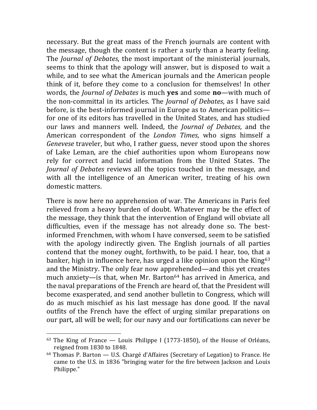necessary. But the great mass of the French journals are content with the message, though the content is rather a surly than a hearty feeling. The *Journal of Debates*, the most important of the ministerial journals, seems to think that the apology will answer, but is disposed to wait a while, and to see what the American journals and the American people think of it, before they come to a conclusion for themselves! In other words, the *Journal of Debates* is much **yes** and some **no**—with much of the non-committal in its articles. The *Journal of Debates*, as I have said before, is the best-informed journal in Europe as to American politics for one of its editors has travelled in the United States, and has studied our laws and manners well. Indeed, the *Journal of Debates*, and the American correspondent of the *London Times*, who signs himself a *Genevese* traveler, but who, I rather guess, never stood upon the shores of Lake Leman, are the chief authorities upon whom Europeans now rely for correct and lucid information from the United States. The *Journal of Debates* reviews all the topics touched in the message, and with all the intelligence of an American writer, treating of his own domestic matters.

There is now here no apprehension of war. The Americans in Paris feel relieved from a heavy burden of doubt. Whatever may be the effect of the message, they think that the intervention of England will obviate all difficulties, even if the message has not already done so. The bestinformed Frenchmen, with whom I have conversed, seem to be satisfied with the apology indirectly given. The English journals of all parties contend that the money ought, forthwith, to be paid. I hear, too, that a banker, high in influence here, has urged a like opinion upon the King<sup>63</sup> and the Ministry. The only fear now apprehended—and this yet creates much anxiety—is that, when Mr. Barton<sup>64</sup> has arrived in America, and the naval preparations of the French are heard of, that the President will become exasperated, and send another bulletin to Congress, which will do as much mischief as his last message has done good. If the naval outfits of the French have the effect of urging similar preparations on our part, all will be well; for our navy and our fortifications can never be

 $63$  The King of France  $-$  Louis Philippe I (1773-1850), of the House of Orléans, reigned from 1830 to 1848.

 $64$  Thomas P. Barton  $-$  U.S. Chargé d'Affaires (Secretary of Legation) to France. He came to the U.S. in 1836 "bringing water for the fire between Jackson and Louis Philippe."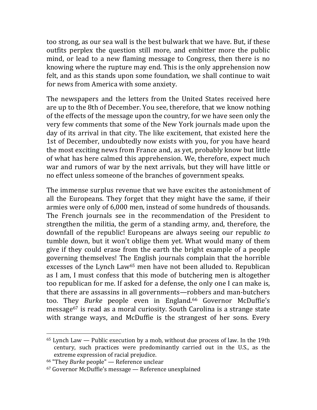too strong, as our sea wall is the best bulwark that we have. But, if these outfits perplex the question still more, and embitter more the public mind, or lead to a new flaming message to Congress, then there is no knowing where the rupture may end. This is the only apprehension now felt, and as this stands upon some foundation, we shall continue to wait for news from America with some anxiety.

The newspapers and the letters from the United States received here are up to the 8th of December. You see, therefore, that we know nothing of the effects of the message upon the country, for we have seen only the very few comments that some of the New York journals made upon the day of its arrival in that city. The like excitement, that existed here the 1st of December, undoubtedly now exists with you, for you have heard the most exciting news from France and, as yet, probably know but little of what has here calmed this apprehension. We, therefore, expect much war and rumors of war by the next arrivals, but they will have little or no effect unless someone of the branches of government speaks.

The immense surplus revenue that we have excites the astonishment of all the Europeans. They forget that they might have the same, if their armies were only of 6,000 men, instead of some hundreds of thousands. The French journals see in the recommendation of the President to strengthen the militia, the germ of a standing army, and, therefore, the downfall of the republic! Europeans are always seeing our republic to tumble down, but it won't oblige them yet. What would many of them give if they could erase from the earth the bright example of a people governing themselves! The English journals complain that the horrible excesses of the Lynch Law<sup>65</sup> men have not been alluded to. Republican as I am, I must confess that this mode of butchering men is altogether too republican for me. If asked for a defense, the only one I can make is, that there are assassins in all governments—robbers and man-butchers too. They *Burke* people even in England.<sup>66</sup> Governor McDuffie's message<sup>67</sup> is read as a moral curiosity. South Carolina is a strange state with strange ways, and McDuffie is the strangest of her sons. Every

 $65$  Lynch Law — Public execution by a mob, without due process of law. In the 19th century, such practices were predominantly carried out in the U.S., as the extreme expression of racial prejudice.

<sup>&</sup>lt;sup>66</sup> "They *Burke* people" — Reference unclear

 $67$  Governor McDuffie's message  $-$  Reference unexplained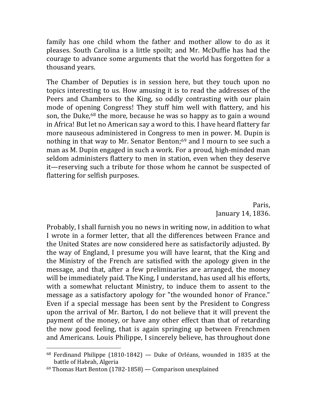family has one child whom the father and mother allow to do as it pleases. South Carolina is a little spoilt; and Mr. McDuffie has had the courage to advance some arguments that the world has forgotten for a thousand years.

The Chamber of Deputies is in session here, but they touch upon no topics interesting to us. How amusing it is to read the addresses of the Peers and Chambers to the King, so oddly contrasting with our plain mode of opening Congress! They stuff him well with flattery, and his son, the Duke,<sup>68</sup> the more, because he was so happy as to gain a wound in Africa! But let no American say a word to this. I have heard flattery far more nauseous administered in Congress to men in power. M. Dupin is nothing in that way to Mr. Senator Benton; $69$  and I mourn to see such a man as M. Dupin engaged in such a work. For a proud, high-minded man seldom administers flattery to men in station, even when they deserve it—reserving such a tribute for those whom he cannot be suspected of flattering for selfish purposes.

> Paris, January 14, 1836.

Probably, I shall furnish you no news in writing now, in addition to what I wrote in a former letter, that all the differences between France and the United States are now considered here as satisfactorily adjusted. By the way of England, I presume you will have learnt, that the King and the Ministry of the French are satisfied with the apology given in the message, and that, after a few preliminaries are arranged, the money will be immediately paid. The King, I understand, has used all his efforts, with a somewhat reluctant Ministry, to induce them to assent to the message as a satisfactory apology for "the wounded honor of France." Even if a special message has been sent by the President to Congress upon the arrival of Mr. Barton, I do not believe that it will prevent the payment of the money, or have any other effect than that of retarding the now good feeling, that is again springing up between Frenchmen and Americans. Louis Philippe, I sincerely believe, has throughout done

 $68$  Ferdinand Philippe (1810-1842) — Duke of Orléans, wounded in 1835 at the battle of Habrah, Algeria

 $69$  Thomas Hart Benton (1782-1858) — Comparison unexplained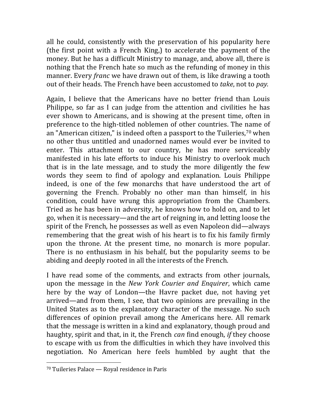all he could, consistently with the preservation of his popularity here (the first point with a French King,) to accelerate the payment of the money. But he has a difficult Ministry to manage, and, above all, there is nothing that the French hate so much as the refunding of money in this manner. Every *franc* we have drawn out of them, is like drawing a tooth out of their heads. The French have been accustomed to *take*, not to *pay.* 

Again, I believe that the Americans have no better friend than Louis Philippe, so far as I can judge from the attention and civilities he has ever shown to Americans, and is showing at the present time, often in preference to the high-titled noblemen of other countries. The name of an "American citizen," is indeed often a passport to the Tuileries,<sup>70</sup> when no other thus untitled and unadorned names would ever be invited to enter. This attachment to our country, he has more serviceably manifested in his late efforts to induce his Ministry to overlook much that is in the late message, and to study the more diligently the few words they seem to find of apology and explanation. Louis Philippe indeed, is one of the few monarchs that have understood the art of governing the French. Probably no other man than himself, in his condition, could have wrung this appropriation from the Chambers. Tried as he has been in adversity, he knows how to hold on, and to let go, when it is necessary—and the art of reigning in, and letting loose the spirit of the French, he possesses as well as even Napoleon did—always remembering that the great wish of his heart is to fix his family firmly upon the throne. At the present time, no monarch is more popular. There is no enthusiasm in his behalf, but the popularity seems to be abiding and deeply rooted in all the interests of the French.

I have read some of the comments, and extracts from other journals, upon the message in the *New York Courier and Enquirer*, which came here by the way of London—the Havre packet due, not having yet arrived—and from them, I see, that two opinions are prevailing in the United States as to the explanatory character of the message. No such differences of opinion prevail among the Americans here. All remark that the message is written in a kind and explanatory, though proud and haughty, spirit and that, in it, the French *can* find enough, *if* they choose to escape with us from the difficulties in which they have involved this negotiation. No American here feels humbled by aught that the 

 $70$  Tuileries Palace — Royal residence in Paris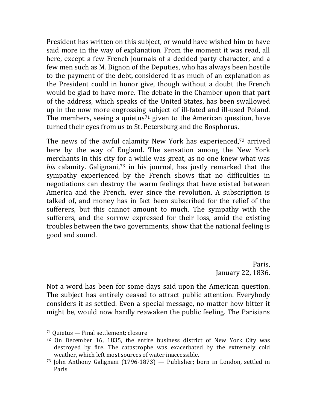President has written on this subject, or would have wished him to have said more in the way of explanation. From the moment it was read, all here, except a few French journals of a decided party character, and a few men such as M. Bignon of the Deputies, who has always been hostile to the payment of the debt, considered it as much of an explanation as the President could in honor give, though without a doubt the French would be glad to have more. The debate in the Chamber upon that part of the address, which speaks of the United States, has been swallowed up in the now more engrossing subject of ill-fated and ill-used Poland. The members, seeing a quietus<sup>71</sup> given to the American question, have turned their eyes from us to St. Petersburg and the Bosphorus.

The news of the awful calamity New York has experienced,<sup>72</sup> arrived here by the way of England. The sensation among the New York merchants in this city for a while was great, as no one knew what was *his* calamity. Galignani,<sup>73</sup> in his journal, has justly remarked that the sympathy experienced by the French shows that no difficulties in negotiations can destroy the warm feelings that have existed between America and the French, ever since the revolution. A subscription is talked of, and money has in fact been subscribed for the relief of the sufferers, but this cannot amount to much. The sympathy with the sufferers, and the sorrow expressed for their loss, amid the existing troubles between the two governments, show that the national feeling is good and sound.

> Paris, January 22, 1836.

Not a word has been for some days said upon the American question. The subject has entirely ceased to attract public attention. Everybody considers it as settled. Even a special message, no matter how bitter it might be, would now hardly reawaken the public feeling. The Parisians

 $71$  Quietus  $-$  Final settlement; closure

 $72$  On December 16, 1835, the entire business district of New York City was destroyed by fire. The catastrophe was exacerbated by the extremely cold weather, which left most sources of water inaccessible.

 $73$  John Anthony Galignani (1796-1873) — Publisher; born in London, settled in Paris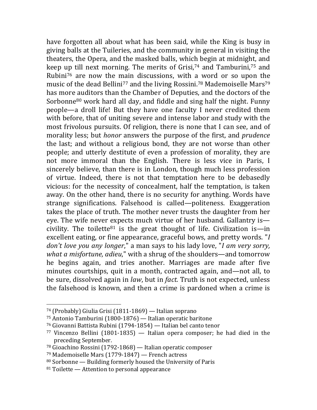have forgotten all about what has been said, while the King is busy in giving balls at the Tuileries, and the community in general in visiting the theaters, the Opera, and the masked balls, which begin at midnight, and keep up till next morning. The merits of Grisi,<sup>74</sup> and Tamburini,<sup>75</sup> and Rubini<sup>76</sup> are now the main discussions, with a word or so upon the music of the dead Bellini<sup>77</sup> and the living Rossini.<sup>78</sup> Mademoiselle Mars<sup>79</sup> has more auditors than the Chamber of Deputies, and the doctors of the Sorbonne $80$  work hard all day, and fiddle and sing half the night. Funny people—a droll life! But they have one faculty I never credited them with before, that of uniting severe and intense labor and study with the most frivolous pursuits. Of religion, there is none that I can see, and of morality less; but *honor* answers the purpose of the first, and *prudence* the last; and without a religious bond, they are not worse than other people; and utterly destitute of even a profession of morality, they are not more immoral than the English. There is less vice in Paris, I sincerely believe, than there is in London, though much less profession of virtue. Indeed, there is not that temptation here to be debasedly vicious: for the necessity of concealment, half the temptation, is taken away. On the other hand, there is no security for anything. Words have strange significations. Falsehood is called—politeness. Exaggeration takes the place of truth. The mother never trusts the daughter from her eye. The wife never expects much virtue of her husband. Gallantry is civility. The toilette<sup>81</sup> is the great thought of life. Civilization is—in excellent eating, or fine appearance, graceful bows, and pretty words. "*I don't love you any longer*," a man says to his lady love, "*I am very sorry*, *what a misfortune, adieu*," with a shrug of the shoulders—and tomorrow he begins again, and tries another. Marriages are made after five minutes courtships, quit in a month, contracted again, and—not all, to be sure, dissolved again in *law*, but in *fact*. Truth is not expected, unless the falsehood is known, and then a crime is pardoned when a crime is

<sup>&</sup>lt;sup>74</sup> (Probably) Giulia Grisi (1811-1869) — Italian soprano

 $75$  Antonio Tamburini (1800-1876) — Italian operatic baritone

<sup>&</sup>lt;sup>76</sup> Giovanni Battista Rubini (1794-1854) — Italian bel canto tenor

<sup>77</sup> Vincenzo Bellini (1801-1835)  $-$  Italian opera composer; he had died in the preceding September.

 $78$  Gioachino Rossini (1792-1868) — Italian operatic composer

 $79$  Mademoiselle Mars (1779-1847) — French actress

 $80$  Sorbonne — Building formerly housed the University of Paris

 $81$  Toilette  $-$  Attention to personal appearance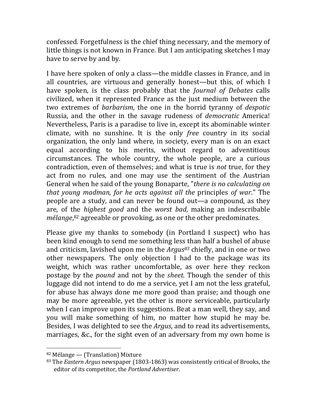confessed. Forgetfulness is the chief thing necessary, and the memory of little things is not known in France. But I am anticipating sketches I may have to serve by and by.

I have here spoken of only a class—the middle classes in France, and in all countries, are virtuous and generally honest—but this, of which I have spoken, is the class probably that the *Journal of Debates* calls civilized, when it represented France as the just medium between the two extremes of *barbarism*, the one in the horrid tyranny of *despotic* Russia, and the other in the savage rudeness of *democratic* America! Nevertheless, Paris is a paradise to live in, except its abominable winter climate, with no sunshine. It is the only *free* country in its social organization, the only land where, in society, every man is on an exact equal according to his merits, without regard to adventitious circumstances. The whole country, the whole people, are a curious contradiction, even of themselves; and what is true is *not* true, for they act from no rules, and one may use the sentiment of the Austrian General when he said of the young Bonaparte, "there is no calculating on *that young madman, for he acts against all the principles of war.*" The people are a study, and can never be found out—a compound, as they are, of the *highest good* and the *worst bad*, making an indescribable mélange, <sup>82</sup> agreeable or provoking, as one or the other predominates.

Please give my thanks to somebody (in Portland I suspect) who has been kind enough to send me something less than half a bushel of abuse and criticism, lavished upon me in the  $Argus^{83}$  chiefly, and in one or two other newspapers. The only objection I had to the package was its weight, which was rather uncomfortable, as over here they reckon postage by the *pound* and not by the *sheet*. Though the sender of this luggage did not intend to do me a service, yet I am not the less grateful, for abuse has always done me more good than praise; and though one may be more agreeable, yet the other is more serviceable, particularly when I can improve upon its suggestions. Beat a man well, they say, and you will make something of him, no matter how stupid he may be. Besides, I was delighted to see the *Argus*, and to read its advertisements, marriages, &c., for the sight even of an adversary from my own home is

<sup>82</sup> Mélange — (Translation) Mixture

<sup>83</sup> The *Eastern Argus* newspaper (1803-1863) was consistently critical of Brooks, the editor of its competitor, the Portland Advertiser.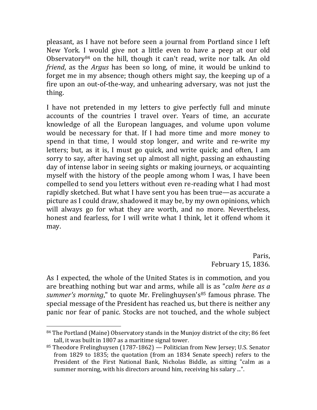pleasant, as I have not before seen a journal from Portland since I left New York. I would give not a little even to have a peep at our old Observatory<sup>84</sup> on the hill, though it can't read, write nor talk. An old *friend*, as the *Argus* has been so long, of mine, it would be unkind to forget me in my absence; though others might say, the keeping up of a fire upon an out-of-the-way, and unhearing adversary, was not just the thing.

I have not pretended in my letters to give perfectly full and minute accounts of the countries I travel over. Years of time, an accurate knowledge of all the European languages, and volume upon volume would be necessary for that. If I had more time and more money to spend in that time, I would stop longer, and write and re-write my letters; but, as it is, I must go quick, and write quick; and often, I am sorry to say, after having set up almost all night, passing an exhausting day of intense labor in seeing sights or making journeys, or acquainting myself with the history of the people among whom I was, I have been compelled to send you letters without even re-reading what I had most rapidly sketched. But what I have sent you has been true—as accurate a picture as I could draw, shadowed it may be, by my own opinions, which will always go for what they are worth, and no more. Nevertheless, honest and fearless, for I will write what I think, let it offend whom it may.

> Paris, February 15, 1836.

As I expected, the whole of the United States is in commotion, and you are breathing nothing but war and arms, while all is as "*calm here as a summer's morning*," to quote Mr. Frelinghuysen's<sup>85</sup> famous phrase. The special message of the President has reached us, but there is neither any panic nor fear of panic. Stocks are not touched, and the whole subject

 $84$  The Portland (Maine) Observatory stands in the Munjoy district of the city; 86 feet tall, it was built in 1807 as a maritime signal tower.

 $85$  Theodore Frelinghuysen (1787-1862) — Politician from New Jersey; U.S. Senator from 1829 to 1835; the quotation (from an 1834 Senate speech) refers to the President of the First National Bank, Nicholas Biddle, as sitting "calm as a summer morning, with his directors around him, receiving his salary ...".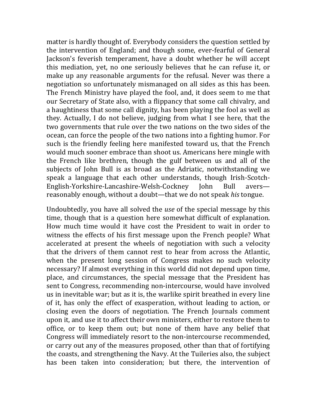matter is hardly thought of. Everybody considers the question settled by the intervention of England; and though some, ever-fearful of General Jackson's feverish temperament, have a doubt whether he will accept this mediation, yet, no one seriously believes that he can refuse it, or make up any reasonable arguments for the refusal. Never was there a negotiation so unfortunately mismanaged on all sides as this has been. The French Ministry have played the fool, and, it does seem to me that our Secretary of State also, with a flippancy that some call chivalry, and a haughtiness that some call dignity, has been playing the fool as well as they. Actually, I do not believe, judging from what I see here, that the two governments that rule over the two nations on the two sides of the ocean, can force the people of the two nations into a fighting humor. For such is the friendly feeling here manifested toward us, that the French would much sooner embrace than shoot us. Americans here mingle with the French like brethren, though the gulf between us and all of the subjects of John Bull is as broad as the Adriatic, notwithstanding we speak a language that each other understands, though Irish-Scotch-English-Yorkshire-Lancashire-Welsh-Cockney John Bull avers reasonably enough, without a doubt—that we do not speak *his* tongue.

Undoubtedly, you have all solved the *use* of the special message by this time, though that is a question here somewhat difficult of explanation. How much time would it have cost the President to wait in order to witness the effects of his first message upon the French people? What accelerated at present the wheels of negotiation with such a velocity that the drivers of them cannot rest to hear from across the Atlantic, when the present long session of Congress makes no such velocity necessary? If almost everything in this world did not depend upon time, place, and circumstances, the special message that the President has sent to Congress, recommending non-intercourse, would have involved us in inevitable war; but as it is, the warlike spirit breathed in every line of it, has only the effect of exasperation, without leading to action, or closing even the doors of negotiation. The French Journals comment upon it, and use it to affect their own ministers, either to restore them to office, or to keep them out; but none of them have any belief that Congress will immediately resort to the non-intercourse recommended, or carry out any of the measures proposed, other than that of fortifying the coasts, and strengthening the Navy. At the Tuileries also, the subject has been taken into consideration; but there, the intervention of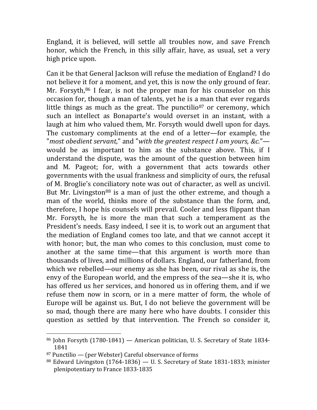England, it is believed, will settle all troubles now, and save French honor, which the French, in this silly affair, have, as usual, set a very high price upon.

Can it be that General Jackson will refuse the mediation of England? I do not believe it for a moment, and yet, this is now the only ground of fear. Mr. Forsyth, $86$  I fear, is not the proper man for his counselor on this occasion for, though a man of talents, yet he is a man that ever regards little things as much as the great. The punctilio<sup>87</sup> or ceremony, which such an intellect as Bonaparte's would overset in an instant, with a laugh at him who valued them, Mr. Forsyth would dwell upon for days. The customary compliments at the end of a letter—for example, the "*most obedient servant*," and "with the greatest respect I am yours, &c." would be as important to him as the substance above. This, if I understand the dispute, was the amount of the question between him and M. Pageot; for, with a government that acts towards other governments with the usual frankness and simplicity of ours, the refusal of M. Broglie's conciliatory note was out of character, as well as uncivil. But Mr. Livingston<sup>88</sup> is a man of just the other extreme, and though a man of the world, thinks more of the substance than the form, and, therefore, I hope his counsels will prevail. Cooler and less flippant than Mr. Forsyth, he is more the man that such a temperament as the President's needs. Easy indeed, I see it is, to work out an argument that the mediation of England comes too late, and that we cannot accept it with honor; but, the man who comes to this conclusion, must come to another at the same time—that this argument is worth more than thousands of lives, and millions of dollars. England, our fatherland, from which we rebelled—our enemy as she has been, our rival as she is, the envy of the European world, and the empress of the sea—she it is, who has offered us her services, and honored us in offering them, and if we refuse them now in scorn, or in a mere matter of form, the whole of Europe will be against us. But, I do not believe the government will be so mad, though there are many here who have doubts. I consider this question as settled by that intervention. The French so consider it,

 $86$  John Forsyth  $(1780-1841)$  — American politician, U. S. Secretary of State 1834-1841

 $87$  Punctilio — (per Webster) Careful observance of forms

 $88$  Edward Livingston (1764-1836) — U. S. Secretary of State 1831-1833; minister plenipotentiary to France 1833-1835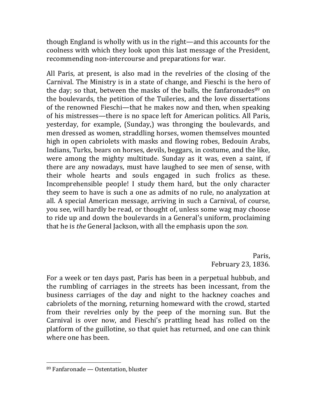though England is wholly with us in the right—and this accounts for the coolness with which they look upon this last message of the President, recommending non-intercourse and preparations for war.

All Paris, at present, is also mad in the revelries of the closing of the Carnival. The Ministry is in a state of change, and Fieschi is the hero of the day; so that, between the masks of the balls, the fanfaronades $89$  on the boulevards, the petition of the Tuileries, and the love dissertations of the renowned Fieschi—that he makes now and then, when speaking of his mistresses—there is no space left for American politics. All Paris, yesterday, for example, (Sunday,) was thronging the boulevards, and men dressed as women, straddling horses, women themselves mounted high in open cabriolets with masks and flowing robes, Bedouin Arabs, Indians, Turks, bears on horses, devils, beggars, in costume, and the like, were among the mighty multitude. Sunday as it was, even a saint, if there are any nowadays, must have laughed to see men of sense, with their whole hearts and souls engaged in such frolics as these. Incomprehensible people! I study them hard, but the only character they seem to have is such a one as admits of no rule, no analyzation at all. A special American message, arriving in such a Carnival, of course, you see, will hardly be read, or thought of, unless some wag may choose to ride up and down the boulevards in a General's uniform, proclaiming that he is *the* General Jackson, with all the emphasis upon the *son*.

> Paris, February 23, 1836.

For a week or ten days past, Paris has been in a perpetual hubbub, and the rumbling of carriages in the streets has been incessant, from the business carriages of the day and night to the hackney coaches and cabriolets of the morning, returning homeward with the crowd, started from their revelries only by the peep of the morning sun. But the Carnival is over now, and Fieschi's prattling head has rolled on the platform of the guillotine, so that quiet has returned, and one can think where one has been.

 $89$  Fanfaronade  $-$  Ostentation, bluster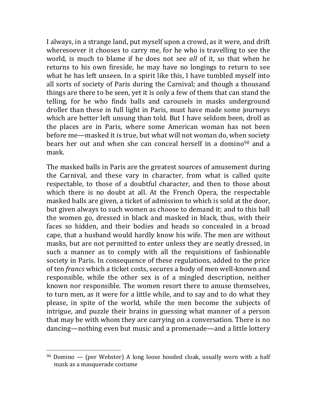I always, in a strange land, put myself upon a crowd, as it were, and drift wheresoever it chooses to carry me, for he who is travelling to see the world, is much to blame if he does not see *all* of it, so that when he returns to his own fireside, he may have no longings to return to see what he has left unseen. In a spirit like this, I have tumbled myself into all sorts of society of Paris during the Carnival; and though a thousand things are there to be seen, yet it is only a few of them that can stand the telling, for he who finds balls and carousels in masks underground droller than these in full light in Paris, must have made some journeys which are better left unsung than told. But I have seldom been, droll as the places are in Paris, where some American woman has not been before me—masked it is true, but what will not woman do, when society bears her out and when she can conceal herself in a domino<sup>90</sup> and a mask.

The masked balls in Paris are the greatest sources of amusement during the Carnival, and these vary in character, from what is called quite respectable, to those of a doubtful character, and then to those about which there is no doubt at all. At the French Opera, the respectable masked balls are given, a ticket of admission to which is sold at the door, but given always to such women as choose to demand it; and to this ball the women go, dressed in black and masked in black, thus, with their faces so hidden, and their bodies and heads so concealed in a broad cape, that a husband would hardly know his wife. The men are without masks, but are not permitted to enter unless they are neatly dressed, in such a manner as to comply with all the requisitions of fashionable society in Paris. In consequence of these regulations, added to the price of ten *francs* which a ticket costs, secures a body of men well-known and responsible, while the other sex is of a mingled description, neither known nor responsible. The women resort there to amuse themselves, to turn men, as it were for a little while, and to say and to do what they please, in spite of the world, while the men become the subjects of intrigue, and puzzle their brains in guessing what manner of a person that may be with whom they are carrying on a conversation. There is no dancing—nothing even but music and a promenade—and a little lottery

 $90$  Domino — (per Webster) A long loose hooded cloak, usually worn with a half mask as a masquerade costume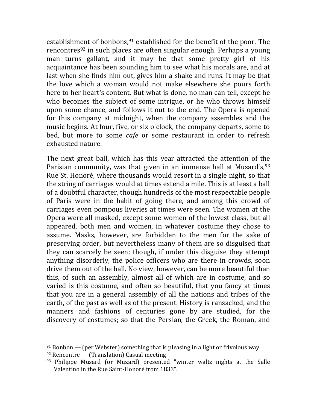establishment of bonbons,  $91$  established for the benefit of the poor. The rencontres<sup>92</sup> in such places are often singular enough. Perhaps a young man turns gallant, and it may be that some pretty girl of his acquaintance has been sounding him to see what his morals are, and at last when she finds him out, gives him a shake and runs. It may be that the love which a woman would not make elsewhere she pours forth here to her heart's content. But what is done, no man can tell, except he who becomes the subject of some intrigue, or he who throws himself upon some chance, and follows it out to the end. The Opera is opened for this company at midnight, when the company assembles and the music begins. At four, five, or six o'clock, the company departs, some to bed, but more to some *cafe* or some restaurant in order to refresh exhausted nature.

The next great ball, which has this year attracted the attention of the Parisian community, was that given in an immense hall at Musard's,  $93$ Rue St. Honoré, where thousands would resort in a single night, so that the string of carriages would at times extend a mile. This is at least a ball of a doubtful character, though hundreds of the most respectable people of Paris were in the habit of going there, and among this crowd of carriages even pompous liveries at times were seen. The women at the Opera were all masked, except some women of the lowest class, but all appeared, both men and women, in whatever costume they chose to assume. Masks, however, are forbidden to the men for the sake of preserving order, but nevertheless many of them are so disguised that they can scarcely be seen; though, if under this disguise they attempt anything disorderly, the police officers who are there in crowds, soon drive them out of the hall. No view, however, can be more beautiful than this, of such an assembly, almost all of which are in costume, and so varied is this costume, and often so beautiful, that you fancy at times that you are in a general assembly of all the nations and tribes of the earth, of the past as well as of the present. History is ransacked, and the manners and fashions of centuries gone by are studied, for the discovery of costumes; so that the Persian, the Greek, the Roman, and

 $91$  Bonbon — (per Webster) something that is pleasing in a light or frivolous way

<sup>&</sup>lt;sup>92</sup> Rencontre — (Translation) Casual meeting

 $93$  Philippe Musard (or Muzard) presented "winter waltz nights at the Salle Valentino in the Rue Saint-Honoré from 1833".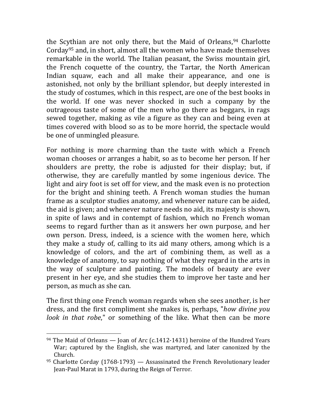the Scythian are not only there, but the Maid of Orleans,  $94$  Charlotte Corday<sup>95</sup> and, in short, almost all the women who have made themselves remarkable in the world. The Italian peasant, the Swiss mountain girl, the French coquette of the country, the Tartar, the North American Indian squaw, each and all make their appearance, and one is astonished, not only by the brilliant splendor, but deeply interested in the study of costumes, which in this respect, are one of the best books in the world. If one was never shocked in such a company by the outrageous taste of some of the men who go there as beggars, in rags sewed together, making as vile a figure as they can and being even at times covered with blood so as to be more horrid, the spectacle would be one of unmingled pleasure.

For nothing is more charming than the taste with which a French woman chooses or arranges a habit, so as to become her person. If her shoulders are pretty, the robe is adjusted for their display; but, if otherwise, they are carefully mantled by some ingenious device. The light and airy foot is set off for view, and the mask even is no protection for the bright and shining teeth. A French woman studies the human frame as a sculptor studies anatomy, and whenever nature can be aided, the aid is given; and whenever nature needs no aid, its majesty is shown, in spite of laws and in contempt of fashion, which no French woman seems to regard further than as it answers her own purpose, and her own person. Dress, indeed, is a science with the women here, which they make a study of, calling to its aid many others, among which is a knowledge of colors, and the art of combining them, as well as a knowledge of anatomy, to say nothing of what they regard in the arts in the way of sculpture and painting. The models of beauty are ever present in her eye, and she studies them to improve her taste and her person, as much as she can.

The first thing one French woman regards when she sees another, is her dress, and the first compliment she makes is, perhaps, "*how divine you look* in that robe," or something of the like. What then can be more

<sup>&</sup>lt;sup>94</sup> The Maid of Orleans — Joan of Arc (c.1412-1431) heroine of the Hundred Years War; captured by the English, she was martyred, and later canonized by the Church.

<sup>&</sup>lt;sup>95</sup> Charlotte Corday (1768-1793) — Assassinated the French Revolutionary leader Jean-Paul Marat in 1793, during the Reign of Terror.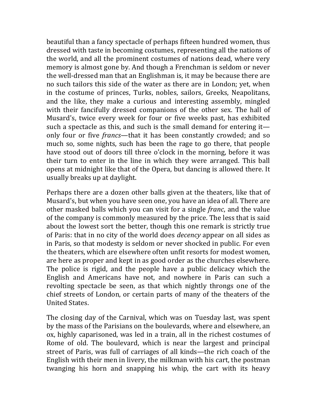beautiful than a fancy spectacle of perhaps fifteen hundred women, thus dressed with taste in becoming costumes, representing all the nations of the world, and all the prominent costumes of nations dead, where very memory is almost gone by. And though a Frenchman is seldom or never the well-dressed man that an Englishman is, it may be because there are no such tailors this side of the water as there are in London; yet, when in the costume of princes, Turks, nobles, sailors, Greeks, Neapolitans, and the like, they make a curious and interesting assembly, mingled with their fancifully dressed companions of the other sex. The hall of Musard's, twice every week for four or five weeks past, has exhibited such a spectacle as this, and such is the small demand for entering it only four or five *francs*—that it has been constantly crowded; and so much so, some nights, such has been the rage to go there, that people have stood out of doors till three o'clock in the morning, before it was their turn to enter in the line in which they were arranged. This ball opens at midnight like that of the Opera, but dancing is allowed there. It usually breaks up at daylight.

Perhaps there are a dozen other balls given at the theaters, like that of Musard's, but when you have seen one, you have an idea of all. There are other masked balls which you can visit for a single *franc*, and the value of the company is commonly measured by the price. The less that is said about the lowest sort the better, though this one remark is strictly true of Paris: that in no city of the world does *decency* appear on all sides as in Paris, so that modesty is seldom or never shocked in public. For even the theaters, which are elsewhere often unfit resorts for modest women, are here as proper and kept in as good order as the churches elsewhere. The police is rigid, and the people have a public delicacy which the English and Americans have not, and nowhere in Paris can such a revolting spectacle be seen, as that which nightly throngs one of the chief streets of London, or certain parts of many of the theaters of the United States.

The closing day of the Carnival, which was on Tuesday last, was spent by the mass of the Parisians on the boulevards, where and elsewhere, an ox, highly caparisoned, was led in a train, all in the richest costumes of Rome of old. The boulevard, which is near the largest and principal street of Paris, was full of carriages of all kinds—the rich coach of the English with their men in livery, the milkman with his cart, the postman twanging his horn and snapping his whip, the cart with its heavy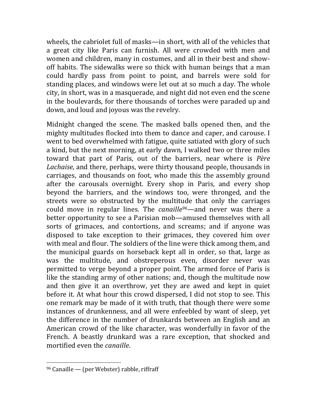wheels, the cabriolet full of masks—in short, with all of the vehicles that a great city like Paris can furnish. All were crowded with men and women and children, many in costumes, and all in their best and showoff habits. The sidewalks were so thick with human beings that a man could hardly pass from point to point, and barrels were sold for standing places, and windows were let out at so much a day. The whole city, in short, was in a masquerade, and night did not even end the scene in the boulevards, for there thousands of torches were paraded up and down, and loud and joyous was the revelry.

Midnight changed the scene. The masked balls opened then, and the mighty multitudes flocked into them to dance and caper, and carouse. I went to bed overwhelmed with fatigue, quite satiated with glory of such a kind, but the next morning, at early dawn, I walked two or three miles toward that part of Paris, out of the barriers, near where is *Père* Lachaise, and there, perhaps, were thirty thousand people, thousands in carriages, and thousands on foot, who made this the assembly ground after the carousals overnight. Every shop in Paris, and every shop beyond the barriers, and the windows too, were thronged, and the streets were so obstructed by the multitude that only the carriages could move in regular lines. The *canaille<sup>96</sup>*—and never was there a better opportunity to see a Parisian mob—amused themselves with all sorts of grimaces, and contortions, and screams; and if anyone was disposed to take exception to their grimaces, they covered him over with meal and flour. The soldiers of the line were thick among them, and the municipal guards on horseback kept all in order, so that, large as was the multitude, and obstreperous even, disorder never was permitted to verge beyond a proper point. The armed force of Paris is like the standing army of other nations; and, though the multitude now and then give it an overthrow, yet they are awed and kept in quiet before it. At what hour this crowd dispersed, I did not stop to see. This one remark may be made of it with truth, that though there were some instances of drunkenness, and all were enfeebled by want of sleep, yet the difference in the number of drunkards between an English and an American crowd of the like character, was wonderfully in favor of the French. A beastly drunkard was a rare exception, that shocked and mortified even the *canaille*.

 $96$  Canaille — (per Webster) rabble, riffraff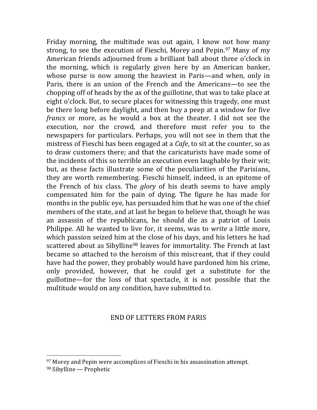Friday morning, the multitude was out again, I know not how many strong, to see the execution of Fieschi, Morey and Pepin.<sup>97</sup> Many of my American friends adjourned from a brilliant ball about three o'clock in the morning, which is regularly given here by an American banker, whose purse is now among the heaviest in Paris—and when, only in Paris, there is an union of the French and the Americans—to see the chopping off of heads by the ax of the guillotine, that was to take place at eight o'clock. But, to secure places for witnessing this tragedy, one must be there long before daylight, and then buy a peep at a window for five *francs* or more, as he would a box at the theater. I did not see the execution, nor the crowd, and therefore must refer you to the newspapers for particulars. Perhaps, you will not see in them that the mistress of Fieschi has been engaged at a *Cafe*, to sit at the counter, so as to draw customers there; and that the caricaturists have made some of the incidents of this so terrible an execution even laughable by their wit; but, as these facts illustrate some of the peculiarities of the Parisians, they are worth remembering. Fieschi himself, indeed, is an epitome of the French of his class. The *glory* of his death seems to have amply compensated him for the pain of dying. The figure he has made for months in the public eye, has persuaded him that he was one of the chief members of the state, and at last he began to believe that, though he was an assassin of the republicans, he should die as a patriot of Louis Philippe. All he wanted to live for, it seems, was to *write* a little more, which passion seized him at the close of his days, and his letters he had scattered about as Sibylline<sup>98</sup> leaves for immortality. The French at last became so attached to the heroism of this miscreant, that if they could have had the power, they probably would have pardoned him his crime, only provided, however, that he could get a substitute for the guillotine—for the loss of that spectacle, it is not possible that the multitude would on any condition, have submitted to.

#### END OF LETTERS FROM PARIS

 $97$  Morey and Pepin were accomplices of Fieschi in his assassination attempt. 98 Sibylline — Prophetic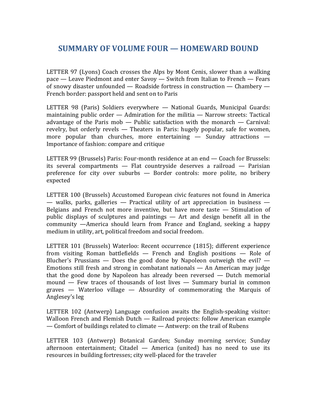### **SUMMARY OF VOLUME FOUR — HOMEWARD BOUND**

LETTER 97 (Lyons) Coach crosses the Alps by Mont Cenis, slower than a walking  $pace$  — Leave Piedmont and enter Savoy — Switch from Italian to French — Fears of snowy disaster unfounded  $-$  Roadside fortress in construction  $-$  Chambery  $-$ French border: passport held and sent on to Paris

LETTER 98 (Paris) Soldiers everywhere  $-$  National Guards, Municipal Guards: maintaining public order  $-$  Admiration for the militia  $-$  Narrow streets: Tactical advantage of the Paris mob  $-$  Public satisfaction with the monarch  $-$  Carnival: revelry, but orderly revels — Theaters in Paris: hugely popular, safe for women, more popular than churches, more entertaining  $-$  Sunday attractions  $-$ Importance of fashion: compare and critique

LETTER 99 (Brussels) Paris: Four-month residence at an end — Coach for Brussels: its several compartments  $-$  Flat countryside deserves a railroad  $-$  Parisian preference for city over suburbs  $-$  Border controls: more polite, no bribery expected

LETTER 100 (Brussels) Accustomed European civic features not found in America  $-$  walks, parks, galleries  $-$  Practical utility of art appreciation in business  $-$ Belgians and French not more inventive, but have more taste  $-$  Stimulation of public displays of sculptures and paintings  $-$  Art and design benefit all in the  $community$  —America should learn from France and England, seeking a happy medium in utility, art, political freedom and social freedom.

LETTER 101 (Brussels) Waterloo: Recent occurrence (1815); different experience from visiting Roman battlefields  $-$  French and English positions  $-$  Role of Blucher's Prussians  $-$  Does the good done by Napoleon outweigh the evil?  $-$ Emotions still fresh and strong in combatant nationals  $-$  An American may judge that the good done by Napoleon has already been reversed  $-$  Dutch memorial mound  $-$  Few traces of thousands of lost lives  $-$  Summary burial in common graves  $-$  Waterloo village  $-$  Absurdity of commemorating the Marquis of Anglesey's leg

LETTER 102 (Antwerp) Language confusion awaits the English-speaking visitor: Walloon French and Flemish Dutch  $-$  Railroad projects: follow American example — Comfort of buildings related to climate — Antwerp: on the trail of Rubens

LETTER 103 (Antwerp) Botanical Garden; Sunday morning service; Sunday afternoon entertainment; Citadel  $-$  America (united) has no need to use its resources in building fortresses; city well-placed for the traveler